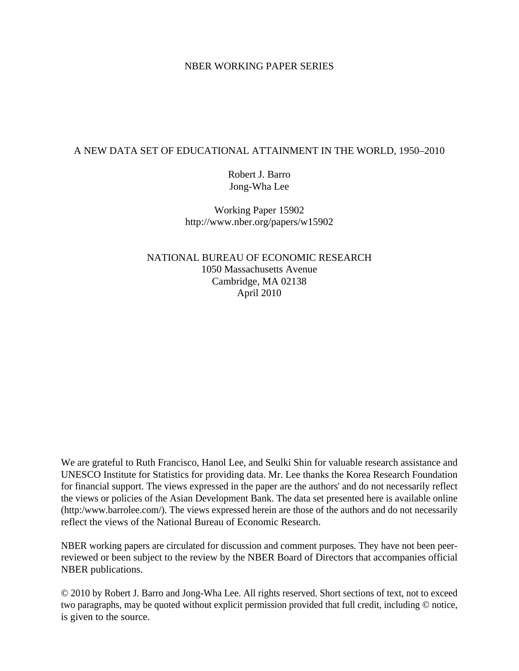### NBER WORKING PAPER SERIES

## A NEW DATA SET OF EDUCATIONAL ATTAINMENT IN THE WORLD, 1950–2010

Robert J. Barro Jong-Wha Lee

Working Paper 15902 http://www.nber.org/papers/w15902

NATIONAL BUREAU OF ECONOMIC RESEARCH 1050 Massachusetts Avenue Cambridge, MA 02138 April 2010

We are grateful to Ruth Francisco, Hanol Lee, and Seulki Shin for valuable research assistance and UNESCO Institute for Statistics for providing data. Mr. Lee thanks the Korea Research Foundation for financial support. The views expressed in the paper are the authors' and do not necessarily reflect the views or policies of the Asian Development Bank. The data set presented here is available online (http:/www.barrolee.com/). The views expressed herein are those of the authors and do not necessarily reflect the views of the National Bureau of Economic Research.

NBER working papers are circulated for discussion and comment purposes. They have not been peerreviewed or been subject to the review by the NBER Board of Directors that accompanies official NBER publications.

© 2010 by Robert J. Barro and Jong-Wha Lee. All rights reserved. Short sections of text, not to exceed two paragraphs, may be quoted without explicit permission provided that full credit, including © notice, is given to the source.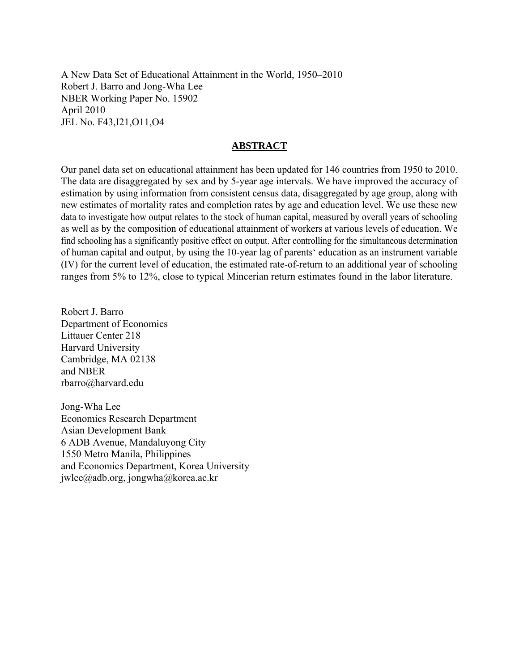A New Data Set of Educational Attainment in the World, 1950–2010 Robert J. Barro and Jong-Wha Lee NBER Working Paper No. 15902 April 2010 JEL No. F43,I21,O11,O4

## **ABSTRACT**

Our panel data set on educational attainment has been updated for 146 countries from 1950 to 2010. The data are disaggregated by sex and by 5-year age intervals. We have improved the accuracy of estimation by using information from consistent census data, disaggregated by age group, along with new estimates of mortality rates and completion rates by age and education level. We use these new data to investigate how output relates to the stock of human capital, measured by overall years of schooling as well as by the composition of educational attainment of workers at various levels of education. We find schooling has a significantly positive effect on output. After controlling for the simultaneous determination of human capital and output, by using the 10-year lag of parents' education as an instrument variable (IV) for the current level of education, the estimated rate-of-return to an additional year of schooling ranges from 5% to 12%, close to typical Mincerian return estimates found in the labor literature.

Robert J. Barro Department of Economics Littauer Center 218 Harvard University Cambridge, MA 02138 and NBER rbarro@harvard.edu

Jong-Wha Lee Economics Research Department Asian Development Bank 6 ADB Avenue, Mandaluyong City 1550 Metro Manila, Philippines and Economics Department, Korea University jwlee@adb.org, jongwha@korea.ac.kr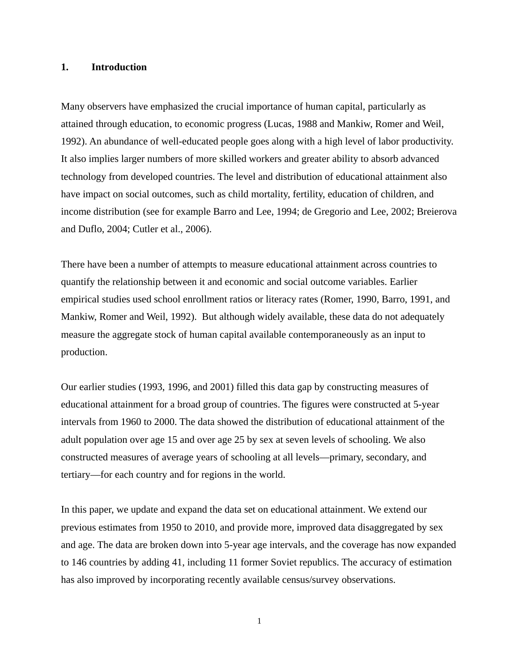#### **1. Introduction**

Many observers have emphasized the crucial importance of human capital, particularly as attained through education, to economic progress (Lucas, 1988 and Mankiw, Romer and Weil, 1992). An abundance of well-educated people goes along with a high level of labor productivity. It also implies larger numbers of more skilled workers and greater ability to absorb advanced technology from developed countries. The level and distribution of educational attainment also have impact on social outcomes, such as child mortality, fertility, education of children, and income distribution (see for example Barro and Lee, 1994; de Gregorio and Lee, 2002; Breierova and Duflo, 2004; Cutler et al., 2006).

There have been a number of attempts to measure educational attainment across countries to quantify the relationship between it and economic and social outcome variables. Earlier empirical studies used school enrollment ratios or literacy rates (Romer, 1990, Barro, 1991, and Mankiw, Romer and Weil, 1992). But although widely available, these data do not adequately measure the aggregate stock of human capital available contemporaneously as an input to production.

Our earlier studies (1993, 1996, and 2001) filled this data gap by constructing measures of educational attainment for a broad group of countries. The figures were constructed at 5-year intervals from 1960 to 2000. The data showed the distribution of educational attainment of the adult population over age 15 and over age 25 by sex at seven levels of schooling. We also constructed measures of average years of schooling at all levels—primary, secondary, and tertiary—for each country and for regions in the world.

In this paper, we update and expand the data set on educational attainment. We extend our previous estimates from 1950 to 2010, and provide more, improved data disaggregated by sex and age. The data are broken down into 5-year age intervals, and the coverage has now expanded to 146 countries by adding 41, including 11 former Soviet republics. The accuracy of estimation has also improved by incorporating recently available census/survey observations.

1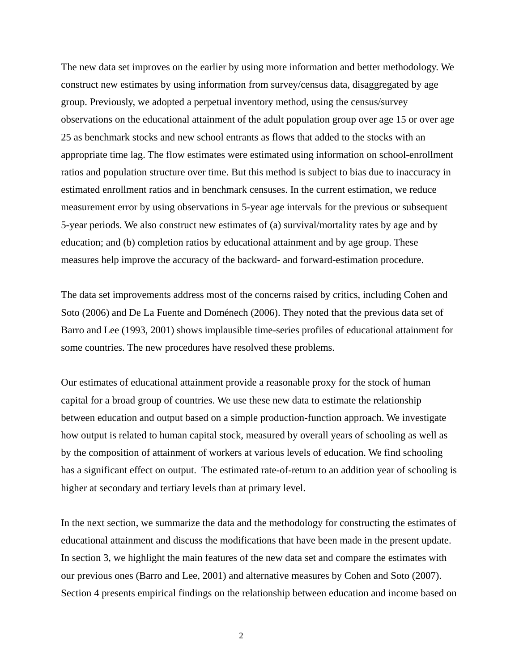The new data set improves on the earlier by using more information and better methodology. We construct new estimates by using information from survey/census data, disaggregated by age group. Previously, we adopted a perpetual inventory method, using the census/survey observations on the educational attainment of the adult population group over age 15 or over age 25 as benchmark stocks and new school entrants as flows that added to the stocks with an appropriate time lag. The flow estimates were estimated using information on school-enrollment ratios and population structure over time. But this method is subject to bias due to inaccuracy in estimated enrollment ratios and in benchmark censuses. In the current estimation, we reduce measurement error by using observations in 5-year age intervals for the previous or subsequent 5-year periods. We also construct new estimates of (a) survival/mortality rates by age and by education; and (b) completion ratios by educational attainment and by age group. These measures help improve the accuracy of the backward- and forward-estimation procedure.

The data set improvements address most of the concerns raised by critics, including Cohen and Soto (2006) and De La Fuente and Doménech (2006). They noted that the previous data set of Barro and Lee (1993, 2001) shows implausible time-series profiles of educational attainment for some countries. The new procedures have resolved these problems.

Our estimates of educational attainment provide a reasonable proxy for the stock of human capital for a broad group of countries. We use these new data to estimate the relationship between education and output based on a simple production-function approach. We investigate how output is related to human capital stock, measured by overall years of schooling as well as by the composition of attainment of workers at various levels of education. We find schooling has a significant effect on output. The estimated rate-of-return to an addition year of schooling is higher at secondary and tertiary levels than at primary level.

In the next section, we summarize the data and the methodology for constructing the estimates of educational attainment and discuss the modifications that have been made in the present update. In section 3, we highlight the main features of the new data set and compare the estimates with our previous ones (Barro and Lee, 2001) and alternative measures by Cohen and Soto (2007). Section 4 presents empirical findings on the relationship between education and income based on

2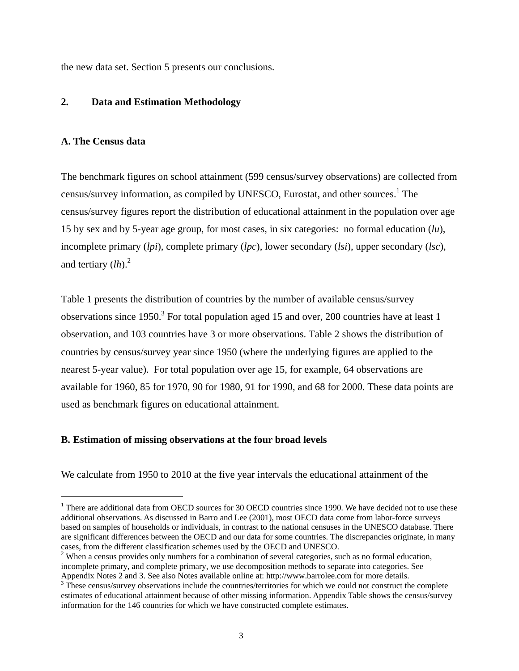the new data set. Section 5 presents our conclusions.

### **2. Data and Estimation Methodology**

#### **A. The Census data**

-

The benchmark figures on school attainment (599 census/survey observations) are collected from census/survey information, as compiled by UNESCO, Eurostat, and other sources.<sup>1</sup> The census/survey figures report the distribution of educational attainment in the population over age 15 by sex and by 5-year age group, for most cases, in six categories: no formal education (*lu*), incomplete primary (*lpi*), complete primary (*lpc*), lower secondary (*lsi*), upper secondary (*lsc*), and tertiary  $(lh)$ .<sup>2</sup>

Table 1 presents the distribution of countries by the number of available census/survey observations since  $1950$ .<sup>3</sup> For total population aged 15 and over, 200 countries have at least 1 observation, and 103 countries have 3 or more observations. Table 2 shows the distribution of countries by census/survey year since 1950 (where the underlying figures are applied to the nearest 5-year value). For total population over age 15, for example, 64 observations are available for 1960, 85 for 1970, 90 for 1980, 91 for 1990, and 68 for 2000. These data points are used as benchmark figures on educational attainment.

#### **B. Estimation of missing observations at the four broad levels**

We calculate from 1950 to 2010 at the five year intervals the educational attainment of the

<sup>&</sup>lt;sup>1</sup> There are additional data from OECD sources for 30 OECD countries since 1990. We have decided not to use these additional observations. As discussed in Barro and Lee (2001), most OECD data come from labor-force surveys based on samples of households or individuals, in contrast to the national censuses in the UNESCO database. There are significant differences between the OECD and our data for some countries. The discrepancies originate, in many cases, from the different classification schemes used by the OECD and UNESCO. 2

<sup>&</sup>lt;sup>2</sup> When a census provides only numbers for a combination of several categories, such as no formal education, incomplete primary, and complete primary, we use decomposition methods to separate into categories. See Appendix Notes 2 and 3. See also Notes available online at: http://www.barrolee.com for more details.

<sup>&</sup>lt;sup>3</sup> These census/survey observations include the countries/territories for which we could not construct the complete estimates of educational attainment because of other missing information. Appendix Table shows the census/survey information for the 146 countries for which we have constructed complete estimates.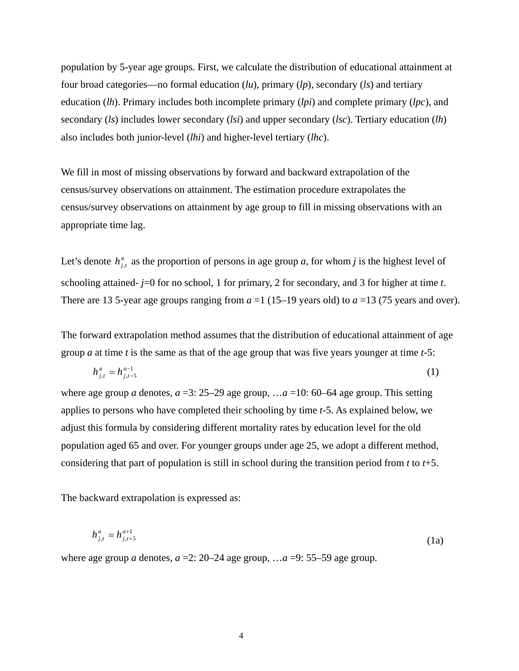population by 5-year age groups. First, we calculate the distribution of educational attainment at four broad categories—no formal education (*lu*), primary (*lp*), secondary (*ls*) and tertiary education (*lh*). Primary includes both incomplete primary (*lpi*) and complete primary (*lpc*), and secondary (*ls*) includes lower secondary (*lsi*) and upper secondary (*lsc*). Tertiary education (*lh*) also includes both junior-level (*lhi*) and higher-level tertiary (*lhc*).

We fill in most of missing observations by forward and backward extrapolation of the census/survey observations on attainment. The estimation procedure extrapolates the census/survey observations on attainment by age group to fill in missing observations with an appropriate time lag.

Let's denote  $h_{j,t}^a$  as the proportion of persons in age group *a*, for whom *j* is the highest level of schooling attained- *j*=0 for no school, 1 for primary, 2 for secondary, and 3 for higher at time *t*. There are 13 5-year age groups ranging from  $a = 1$  (15–19 years old) to  $a = 13$  (75 years and over).

The forward extrapolation method assumes that the distribution of educational attainment of age group *a* at time *t* is the same as that of the age group that was five years younger at time *t*-5:

$$
h_{j,t}^a = h_{j,t-5}^{a-1} \tag{1}
$$

where age group *a* denotes,  $a = 3: 25-29$  age group, ... $a = 10: 60-64$  age group. This setting applies to persons who have completed their schooling by time *t*-5. As explained below, we adjust this formula by considering different mortality rates by education level for the old population aged 65 and over. For younger groups under age 25, we adopt a different method, considering that part of population is still in school during the transition period from *t* to *t*+5.

The backward extrapolation is expressed as:

$$
h_{j,t}^a = h_{j,t+5}^{a+1} \tag{1a}
$$

where age group *a* denotes,  $a = 2$ : 20–24 age group, ... $a = 9$ : 55–59 age group.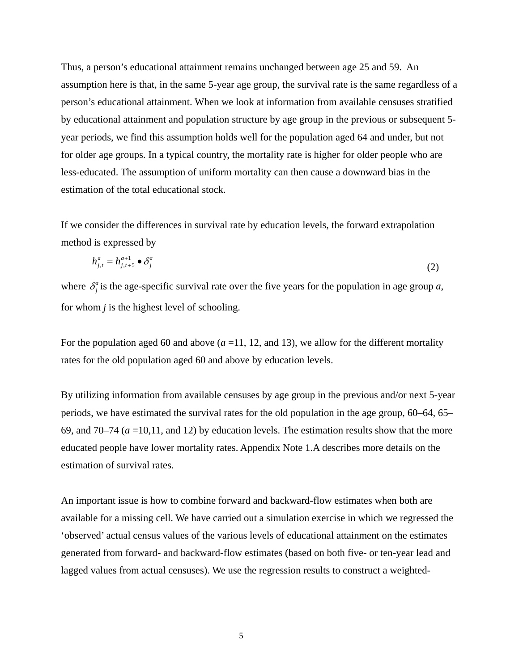Thus, a person's educational attainment remains unchanged between age 25 and 59. An assumption here is that, in the same 5-year age group, the survival rate is the same regardless of a person's educational attainment. When we look at information from available censuses stratified by educational attainment and population structure by age group in the previous or subsequent 5 year periods, we find this assumption holds well for the population aged 64 and under, but not for older age groups. In a typical country, the mortality rate is higher for older people who are less-educated. The assumption of uniform mortality can then cause a downward bias in the estimation of the total educational stock.

If we consider the differences in survival rate by education levels, the forward extrapolation method is expressed by

$$
h_{j,t}^a = h_{j,t+5}^{a+1} \bullet \delta_j^a \tag{2}
$$

where  $\delta_j^a$  is the age-specific survival rate over the five years for the population in age group *a*, for whom *j* is the highest level of schooling.

For the population aged 60 and above  $(a=11, 12,$  and 13), we allow for the different mortality rates for the old population aged 60 and above by education levels.

By utilizing information from available censuses by age group in the previous and/or next 5-year periods, we have estimated the survival rates for the old population in the age group, 60–64, 65– 69, and  $70-74$  ( $a = 10,11$ , and 12) by education levels. The estimation results show that the more educated people have lower mortality rates. Appendix Note 1.A describes more details on the estimation of survival rates.

An important issue is how to combine forward and backward-flow estimates when both are available for a missing cell. We have carried out a simulation exercise in which we regressed the 'observed' actual census values of the various levels of educational attainment on the estimates generated from forward- and backward-flow estimates (based on both five- or ten-year lead and lagged values from actual censuses). We use the regression results to construct a weighted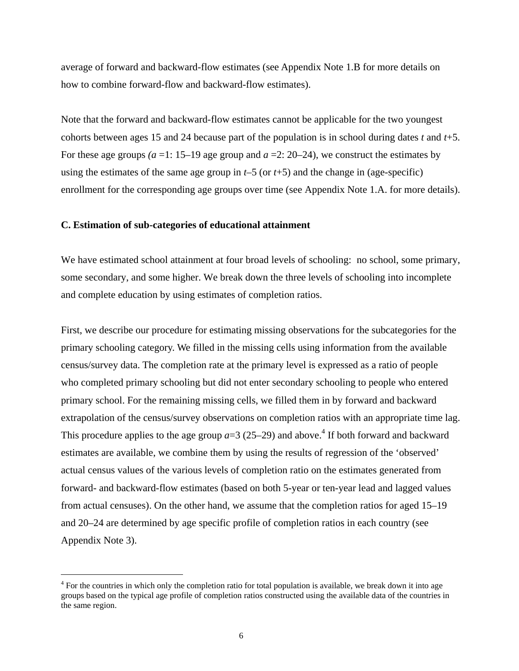average of forward and backward-flow estimates (see Appendix Note 1.B for more details on how to combine forward-flow and backward-flow estimates).

Note that the forward and backward-flow estimates cannot be applicable for the two youngest cohorts between ages 15 and 24 because part of the population is in school during dates *t* and *t*+5. For these age groups *(a* =1: 15–19 age group and *a* =2: 20–24), we construct the estimates by using the estimates of the same age group in *t*–5 (or *t*+5) and the change in (age-specific) enrollment for the corresponding age groups over time (see Appendix Note 1.A. for more details).

#### **C. Estimation of sub-categories of educational attainment**

We have estimated school attainment at four broad levels of schooling: no school, some primary, some secondary, and some higher. We break down the three levels of schooling into incomplete and complete education by using estimates of completion ratios.

First, we describe our procedure for estimating missing observations for the subcategories for the primary schooling category. We filled in the missing cells using information from the available census/survey data. The completion rate at the primary level is expressed as a ratio of people who completed primary schooling but did not enter secondary schooling to people who entered primary school. For the remaining missing cells, we filled them in by forward and backward extrapolation of the census/survey observations on completion ratios with an appropriate time lag. This procedure applies to the age group  $a=3$  (25–29) and above.<sup>4</sup> If both forward and backward estimates are available, we combine them by using the results of regression of the 'observed' actual census values of the various levels of completion ratio on the estimates generated from forward- and backward-flow estimates (based on both 5-year or ten-year lead and lagged values from actual censuses). On the other hand, we assume that the completion ratios for aged 15–19 and 20–24 are determined by age specific profile of completion ratios in each country (see Appendix Note 3).

j

<sup>&</sup>lt;sup>4</sup> For the countries in which only the completion ratio for total population is available, we break down it into age groups based on the typical age profile of completion ratios constructed using the available data of the countries in the same region.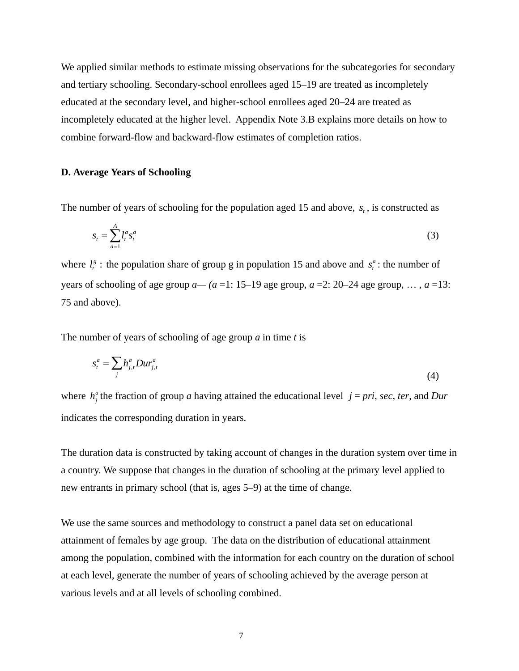We applied similar methods to estimate missing observations for the subcategories for secondary and tertiary schooling. Secondary-school enrollees aged 15–19 are treated as incompletely educated at the secondary level, and higher-school enrollees aged 20–24 are treated as incompletely educated at the higher level. Appendix Note 3.B explains more details on how to combine forward-flow and backward-flow estimates of completion ratios.

#### **D. Average Years of Schooling**

The number of years of schooling for the population aged 15 and above,  $s_t$ , is constructed as

$$
s_t = \sum_{a=1}^{A} l_t^a s_t^a
$$
 (3)

where  $l_t^g$ : the population share of group g in population 15 and above and  $s_t^a$ : the number of years of schooling of age group  $a - (a = 1: 15-19)$  age group,  $a = 2: 20-24$  age group, ...,  $a = 13$ : 75 and above).

The number of years of schooling of age group *a* in time *t* is

$$
s_t^a = \sum_j h_{j,t}^a Dur_{j,t}^a \tag{4}
$$

where  $h_j^a$  the fraction of group *a* having attained the educational level  $j = pri$ , *sec*, *ter*, and *Dur* indicates the corresponding duration in years.

The duration data is constructed by taking account of changes in the duration system over time in a country. We suppose that changes in the duration of schooling at the primary level applied to new entrants in primary school (that is, ages 5–9) at the time of change.

We use the same sources and methodology to construct a panel data set on educational attainment of females by age group. The data on the distribution of educational attainment among the population, combined with the information for each country on the duration of school at each level, generate the number of years of schooling achieved by the average person at various levels and at all levels of schooling combined.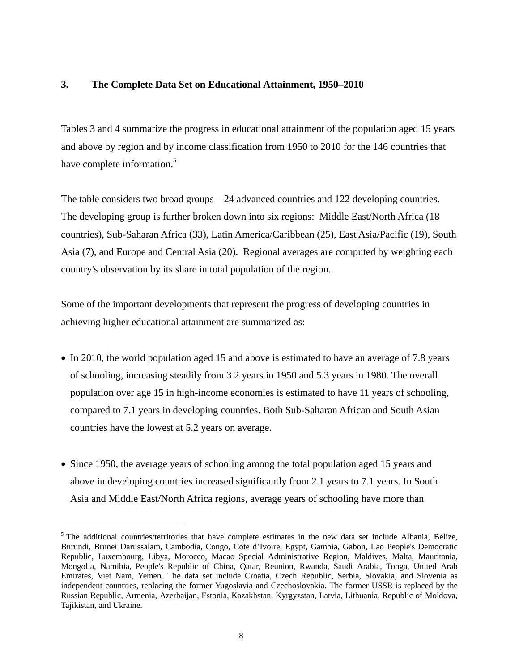### **3. The Complete Data Set on Educational Attainment, 1950–2010**

Tables 3 and 4 summarize the progress in educational attainment of the population aged 15 years and above by region and by income classification from 1950 to 2010 for the 146 countries that have complete information.<sup>5</sup>

The table considers two broad groups—24 advanced countries and 122 developing countries. The developing group is further broken down into six regions: Middle East/North Africa (18 countries), Sub-Saharan Africa (33), Latin America/Caribbean (25), East Asia/Pacific (19), South Asia (7), and Europe and Central Asia (20). Regional averages are computed by weighting each country's observation by its share in total population of the region.

Some of the important developments that represent the progress of developing countries in achieving higher educational attainment are summarized as:

- In 2010, the world population aged 15 and above is estimated to have an average of 7.8 years of schooling, increasing steadily from 3.2 years in 1950 and 5.3 years in 1980. The overall population over age 15 in high-income economies is estimated to have 11 years of schooling, compared to 7.1 years in developing countries. Both Sub-Saharan African and South Asian countries have the lowest at 5.2 years on average.
- Since 1950, the average years of schooling among the total population aged 15 years and above in developing countries increased significantly from 2.1 years to 7.1 years. In South Asia and Middle East/North Africa regions, average years of schooling have more than

 $<sup>5</sup>$  The additional countries/territories that have complete estimates in the new data set include Albania, Belize,</sup> Burundi, Brunei Darussalam, Cambodia, Congo, Cote d'Ivoire, Egypt, Gambia, Gabon, Lao People's Democratic Republic, Luxembourg, Libya, Morocco, Macao Special Administrative Region, Maldives, Malta, Mauritania, Mongolia, Namibia, People's Republic of China, Qatar, Reunion, Rwanda, Saudi Arabia, Tonga, United Arab Emirates, Viet Nam, Yemen. The data set include Croatia, Czech Republic, Serbia, Slovakia, and Slovenia as independent countries, replacing the former Yugoslavia and Czechoslovakia. The former USSR is replaced by the Russian Republic, Armenia, Azerbaijan, Estonia, Kazakhstan, Kyrgyzstan, Latvia, Lithuania, Republic of Moldova, Tajikistan, and Ukraine.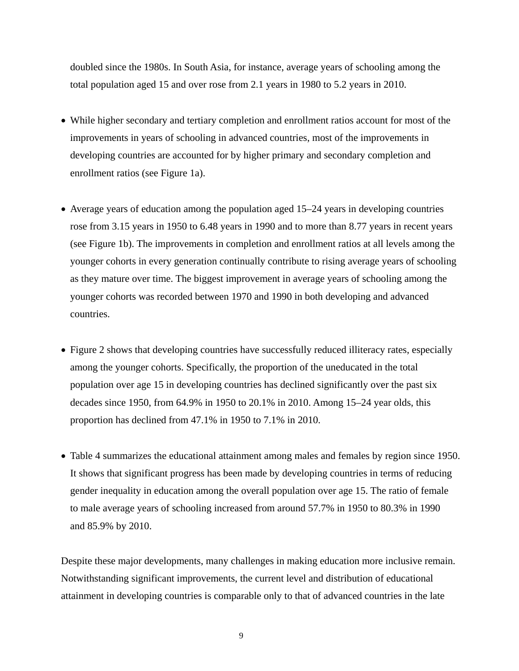doubled since the 1980s. In South Asia, for instance, average years of schooling among the total population aged 15 and over rose from 2.1 years in 1980 to 5.2 years in 2010.

- While higher secondary and tertiary completion and enrollment ratios account for most of the improvements in years of schooling in advanced countries, most of the improvements in developing countries are accounted for by higher primary and secondary completion and enrollment ratios (see Figure 1a).
- Average years of education among the population aged 15–24 years in developing countries rose from 3.15 years in 1950 to 6.48 years in 1990 and to more than 8.77 years in recent years (see Figure 1b). The improvements in completion and enrollment ratios at all levels among the younger cohorts in every generation continually contribute to rising average years of schooling as they mature over time. The biggest improvement in average years of schooling among the younger cohorts was recorded between 1970 and 1990 in both developing and advanced countries.
- Figure 2 shows that developing countries have successfully reduced illiteracy rates, especially among the younger cohorts. Specifically, the proportion of the uneducated in the total population over age 15 in developing countries has declined significantly over the past six decades since 1950, from 64.9% in 1950 to 20.1% in 2010. Among 15–24 year olds, this proportion has declined from 47.1% in 1950 to 7.1% in 2010.
- Table 4 summarizes the educational attainment among males and females by region since 1950. It shows that significant progress has been made by developing countries in terms of reducing gender inequality in education among the overall population over age 15. The ratio of female to male average years of schooling increased from around 57.7% in 1950 to 80.3% in 1990 and 85.9% by 2010.

Despite these major developments, many challenges in making education more inclusive remain. Notwithstanding significant improvements, the current level and distribution of educational attainment in developing countries is comparable only to that of advanced countries in the late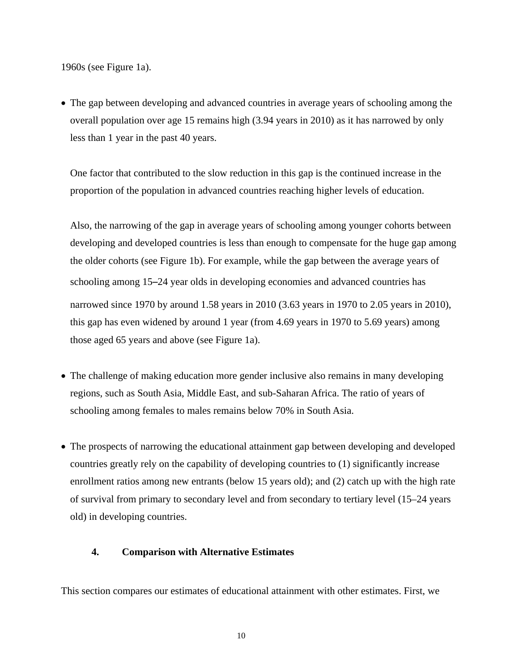1960s (see Figure 1a).

 The gap between developing and advanced countries in average years of schooling among the overall population over age 15 remains high (3.94 years in 2010) as it has narrowed by only less than 1 year in the past 40 years.

One factor that contributed to the slow reduction in this gap is the continued increase in the proportion of the population in advanced countries reaching higher levels of education.

Also, the narrowing of the gap in average years of schooling among younger cohorts between developing and developed countries is less than enough to compensate for the huge gap among the older cohorts (see Figure 1b). For example, while the gap between the average years of schooling among 15–24 year olds in developing economies and advanced countries has narrowed since 1970 by around 1.58 years in 2010 (3.63 years in 1970 to 2.05 years in 2010), this gap has even widened by around 1 year (from 4.69 years in 1970 to 5.69 years) among those aged 65 years and above (see Figure 1a).

- The challenge of making education more gender inclusive also remains in many developing regions, such as South Asia, Middle East, and sub-Saharan Africa. The ratio of years of schooling among females to males remains below 70% in South Asia.
- The prospects of narrowing the educational attainment gap between developing and developed countries greatly rely on the capability of developing countries to (1) significantly increase enrollment ratios among new entrants (below 15 years old); and (2) catch up with the high rate of survival from primary to secondary level and from secondary to tertiary level (15–24 years old) in developing countries.

## **4. Comparison with Alternative Estimates**

This section compares our estimates of educational attainment with other estimates. First, we

10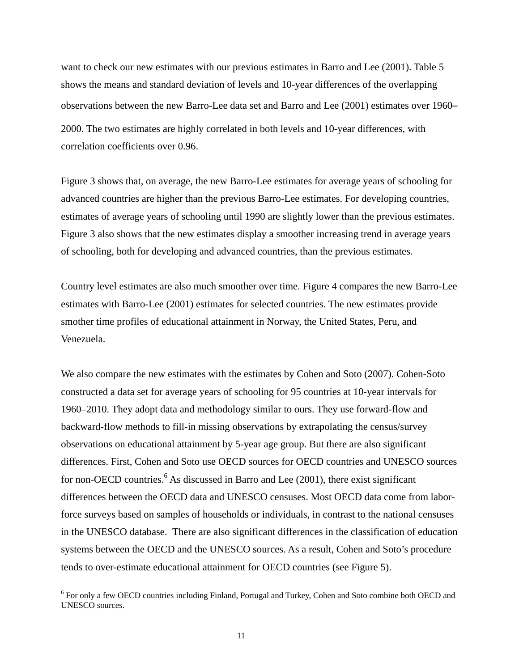want to check our new estimates with our previous estimates in Barro and Lee (2001). Table 5 shows the means and standard deviation of levels and 10-year differences of the overlapping observations between the new Barro-Lee data set and Barro and Lee (2001) estimates over 1960– 2000. The two estimates are highly correlated in both levels and 10-year differences, with correlation coefficients over 0.96.

Figure 3 shows that, on average, the new Barro-Lee estimates for average years of schooling for advanced countries are higher than the previous Barro-Lee estimates. For developing countries, estimates of average years of schooling until 1990 are slightly lower than the previous estimates. Figure 3 also shows that the new estimates display a smoother increasing trend in average years of schooling, both for developing and advanced countries, than the previous estimates.

Country level estimates are also much smoother over time. Figure 4 compares the new Barro-Lee estimates with Barro-Lee (2001) estimates for selected countries. The new estimates provide smother time profiles of educational attainment in Norway, the United States, Peru, and Venezuela.

We also compare the new estimates with the estimates by Cohen and Soto (2007). Cohen-Soto constructed a data set for average years of schooling for 95 countries at 10-year intervals for 1960–2010. They adopt data and methodology similar to ours. They use forward-flow and backward-flow methods to fill-in missing observations by extrapolating the census/survey observations on educational attainment by 5-year age group. But there are also significant differences. First, Cohen and Soto use OECD sources for OECD countries and UNESCO sources for non-OECD countries.<sup>6</sup> As discussed in Barro and Lee (2001), there exist significant differences between the OECD data and UNESCO censuses. Most OECD data come from laborforce surveys based on samples of households or individuals, in contrast to the national censuses in the UNESCO database. There are also significant differences in the classification of education systems between the OECD and the UNESCO sources. As a result, Cohen and Soto's procedure tends to over-estimate educational attainment for OECD countries (see Figure 5).

<sup>&</sup>lt;sup>6</sup> For only a few OECD countries including Finland, Portugal and Turkey, Cohen and Soto combine both OECD and UNESCO sources.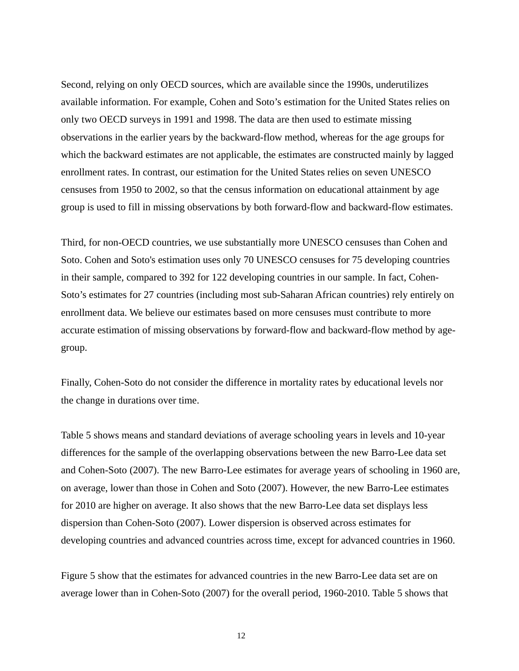Second, relying on only OECD sources, which are available since the 1990s, underutilizes available information. For example, Cohen and Soto's estimation for the United States relies on only two OECD surveys in 1991 and 1998. The data are then used to estimate missing observations in the earlier years by the backward-flow method, whereas for the age groups for which the backward estimates are not applicable, the estimates are constructed mainly by lagged enrollment rates. In contrast, our estimation for the United States relies on seven UNESCO censuses from 1950 to 2002, so that the census information on educational attainment by age group is used to fill in missing observations by both forward-flow and backward-flow estimates.

Third, for non-OECD countries, we use substantially more UNESCO censuses than Cohen and Soto. Cohen and Soto's estimation uses only 70 UNESCO censuses for 75 developing countries in their sample, compared to 392 for 122 developing countries in our sample. In fact, Cohen-Soto's estimates for 27 countries (including most sub-Saharan African countries) rely entirely on enrollment data. We believe our estimates based on more censuses must contribute to more accurate estimation of missing observations by forward-flow and backward-flow method by agegroup.

Finally, Cohen-Soto do not consider the difference in mortality rates by educational levels nor the change in durations over time.

Table 5 shows means and standard deviations of average schooling years in levels and 10-year differences for the sample of the overlapping observations between the new Barro-Lee data set and Cohen-Soto (2007). The new Barro-Lee estimates for average years of schooling in 1960 are, on average, lower than those in Cohen and Soto (2007). However, the new Barro-Lee estimates for 2010 are higher on average. It also shows that the new Barro-Lee data set displays less dispersion than Cohen-Soto (2007). Lower dispersion is observed across estimates for developing countries and advanced countries across time, except for advanced countries in 1960.

Figure 5 show that the estimates for advanced countries in the new Barro-Lee data set are on average lower than in Cohen-Soto (2007) for the overall period, 1960-2010. Table 5 shows that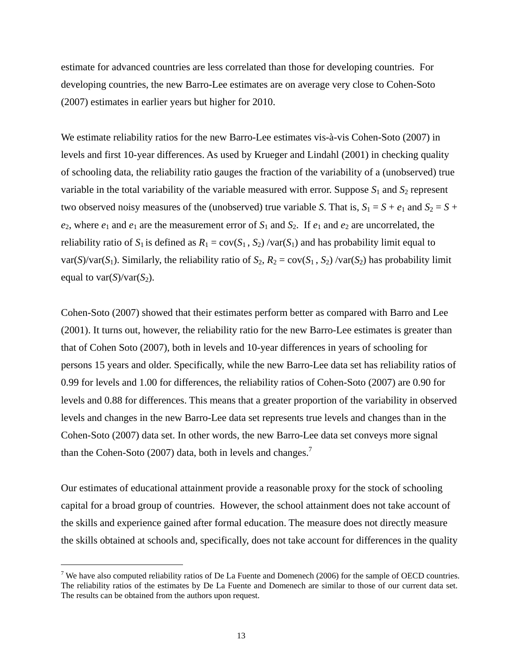estimate for advanced countries are less correlated than those for developing countries. For developing countries, the new Barro-Lee estimates are on average very close to Cohen-Soto (2007) estimates in earlier years but higher for 2010.

We estimate reliability ratios for the new Barro-Lee estimates vis-à-vis Cohen-Soto (2007) in levels and first 10-year differences. As used by Krueger and Lindahl (2001) in checking quality of schooling data, the reliability ratio gauges the fraction of the variability of a (unobserved) true variable in the total variability of the variable measured with error. Suppose  $S_1$  and  $S_2$  represent two observed noisy measures of the (unobserved) true variable *S*. That is,  $S_1 = S + e_1$  and  $S_2 = S +$  $e_2$ , where  $e_1$  and  $e_1$  are the measurement error of  $S_1$  and  $S_2$ . If  $e_1$  and  $e_2$  are uncorrelated, the reliability ratio of  $S_1$  is defined as  $R_1 = \text{cov}(S_1, S_2) / \text{var}(S_1)$  and has probability limit equal to var(*S*)/var(*S*<sub>1</sub>). Similarly, the reliability ratio of  $S_2$ ,  $R_2 = cov(S_1, S_2)$ /var(*S*<sub>2</sub>) has probability limit equal to var $(S)/\text{var}(S_2)$ .

Cohen-Soto (2007) showed that their estimates perform better as compared with Barro and Lee (2001). It turns out, however, the reliability ratio for the new Barro-Lee estimates is greater than that of Cohen Soto (2007), both in levels and 10-year differences in years of schooling for persons 15 years and older. Specifically, while the new Barro-Lee data set has reliability ratios of 0.99 for levels and 1.00 for differences, the reliability ratios of Cohen-Soto (2007) are 0.90 for levels and 0.88 for differences. This means that a greater proportion of the variability in observed levels and changes in the new Barro-Lee data set represents true levels and changes than in the Cohen-Soto (2007) data set. In other words, the new Barro-Lee data set conveys more signal than the Cohen-Soto (2007) data, both in levels and changes.<sup>7</sup>

Our estimates of educational attainment provide a reasonable proxy for the stock of schooling capital for a broad group of countries. However, the school attainment does not take account of the skills and experience gained after formal education. The measure does not directly measure the skills obtained at schools and, specifically, does not take account for differences in the quality

<sup>&</sup>lt;sup>7</sup> We have also computed reliability ratios of De La Fuente and Domenech (2006) for the sample of OECD countries. The reliability ratios of the estimates by De La Fuente and Domenech are similar to those of our current data set. The results can be obtained from the authors upon request.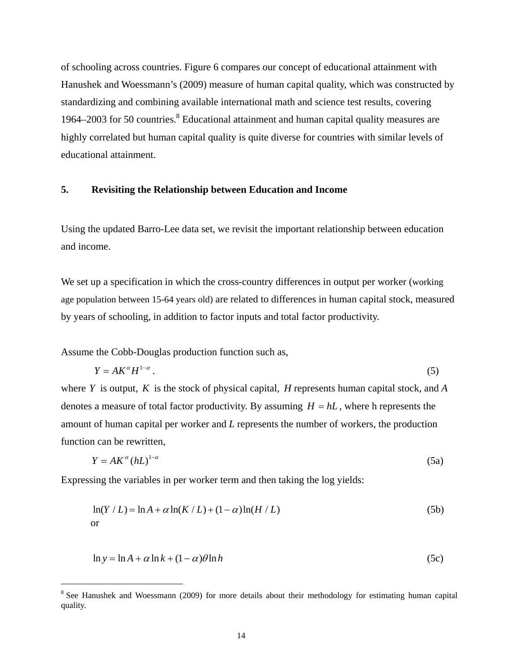of schooling across countries. Figure 6 compares our concept of educational attainment with Hanushek and Woessmann's (2009) measure of human capital quality, which was constructed by standardizing and combining available international math and science test results, covering 1964–2003 for 50 countries. $8$  Educational attainment and human capital quality measures are highly correlated but human capital quality is quite diverse for countries with similar levels of educational attainment.

#### **5. Revisiting the Relationship between Education and Income**

Using the updated Barro-Lee data set, we revisit the important relationship between education and income.

We set up a specification in which the cross-country differences in output per worker (working age population between 15-64 years old) are related to differences in human capital stock, measured by years of schooling, in addition to factor inputs and total factor productivity.

Assume the Cobb-Douglas production function such as,

-

$$
Y = AK^{\alpha}H^{1-\alpha} \tag{5}
$$

where *Y* is output, *K* is the stock of physical capital, *H* represents human capital stock, and *A* denotes a measure of total factor productivity. By assuming  $H = hL$ , where h represents the amount of human capital per worker and *L* represents the number of workers, the production function can be rewritten,

$$
Y = AK^{\alpha} (hL)^{1-\alpha} \tag{5a}
$$

Expressing the variables in per worker term and then taking the log yields:

$$
\ln(Y/L) = \ln A + \alpha \ln(K/L) + (1 - \alpha) \ln(H/L)
$$
 (5b)

$$
\ln y = \ln A + \alpha \ln k + (1 - \alpha)\theta \ln h \tag{5c}
$$

<sup>&</sup>lt;sup>8</sup> See Hanushek and Woessmann (2009) for more details about their methodology for estimating human capital quality.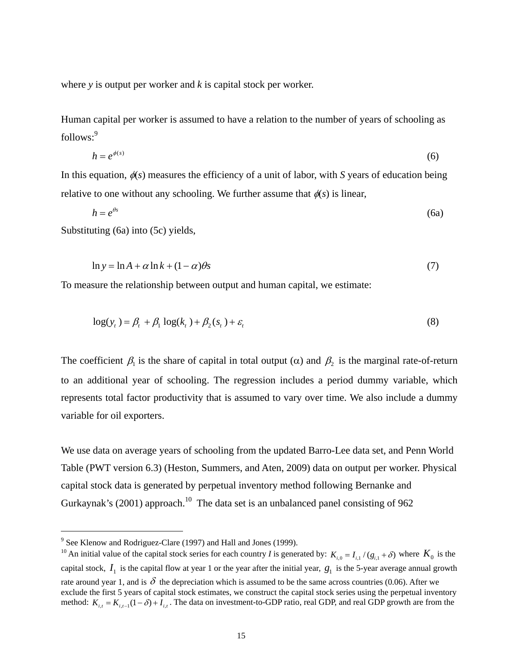where *y* is output per worker and *k* is capital stock per worker.

Human capital per worker is assumed to have a relation to the number of years of schooling as follows:<sup>9</sup>

$$
h = e^{\phi(s)} \tag{6}
$$

In this equation,  $\phi(s)$  measures the efficiency of a unit of labor, with *S* years of education being relative to one without any schooling. We further assume that  $\phi(s)$  is linear,

$$
h = e^{\theta s} \tag{6a}
$$

Substituting (6a) into (5c) yields,

$$
\ln y = \ln A + \alpha \ln k + (1 - \alpha)\theta s \tag{7}
$$

To measure the relationship between output and human capital, we estimate:

$$
\log(y_t) = \beta_t + \beta_1 \log(k_t) + \beta_2(s_t) + \varepsilon_t \tag{8}
$$

The coefficient  $\beta_1$  is the share of capital in total output ( $\alpha$ ) and  $\beta_2$  is the marginal rate-of-return to an additional year of schooling. The regression includes a period dummy variable, which represents total factor productivity that is assumed to vary over time. We also include a dummy variable for oil exporters.

We use data on average years of schooling from the updated Barro-Lee data set, and Penn World Table (PWT version 6.3) (Heston, Summers, and Aten, 2009) data on output per worker. Physical capital stock data is generated by perpetual inventory method following Bernanke and Gurkaynak's (2001) approach.<sup>10</sup> The data set is an unbalanced panel consisting of 962

<sup>&</sup>lt;sup>9</sup> See Klenow and Rodriguez-Clare (1997) and Hall and Jones (1999).

<sup>&</sup>lt;sup>10</sup> An initial value of the capital stock series for each country *I* is generated by:  $K_{i,0} = I_{i,1} / (g_{i,1} + \delta)$  where  $K_0$  is the capital stock,  $I_1$  is the capital flow at year 1 or the year after the initial year,  $g_1$  is the 5-year average annual growth rate around year 1, and is  $\delta$  the depreciation which is assumed to be the same across countries (0.06). After we exclude the first 5 years of capital stock estimates, we construct the capital stock series using the perpetual inventory method:  $K_{i,t} = K_{i,t-1}(1-\delta) + I_{i,t}$ . The data on investment-to-GDP ratio, real GDP, and real GDP growth are from the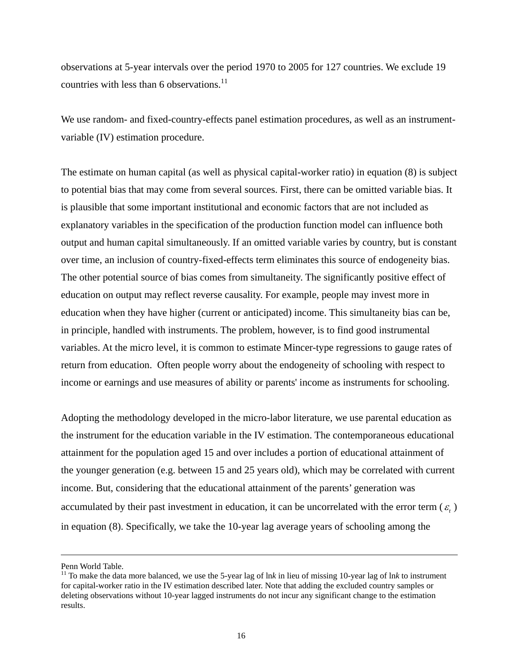observations at 5-year intervals over the period 1970 to 2005 for 127 countries. We exclude 19 countries with less than 6 observations.<sup>11</sup>

We use random- and fixed-country-effects panel estimation procedures, as well as an instrumentvariable (IV) estimation procedure.

The estimate on human capital (as well as physical capital-worker ratio) in equation (8) is subject to potential bias that may come from several sources. First, there can be omitted variable bias. It is plausible that some important institutional and economic factors that are not included as explanatory variables in the specification of the production function model can influence both output and human capital simultaneously. If an omitted variable varies by country, but is constant over time, an inclusion of country-fixed-effects term eliminates this source of endogeneity bias. The other potential source of bias comes from simultaneity. The significantly positive effect of education on output may reflect reverse causality. For example, people may invest more in education when they have higher (current or anticipated) income. This simultaneity bias can be, in principle, handled with instruments. The problem, however, is to find good instrumental variables. At the micro level, it is common to estimate Mincer-type regressions to gauge rates of return from education. Often people worry about the endogeneity of schooling with respect to income or earnings and use measures of ability or parents' income as instruments for schooling.

Adopting the methodology developed in the micro-labor literature, we use parental education as the instrument for the education variable in the IV estimation. The contemporaneous educational attainment for the population aged 15 and over includes a portion of educational attainment of the younger generation (e.g. between 15 and 25 years old), which may be correlated with current income. But, considering that the educational attainment of the parents' generation was accumulated by their past investment in education, it can be uncorrelated with the error term  $(\varepsilon)$ in equation (8). Specifically, we take the 10-year lag average years of schooling among the

Penn World Table.

<sup>&</sup>lt;sup>11</sup> To make the data more balanced, we use the 5-year lag of lnk in lieu of missing 10-year lag of lnk to instrument for capital-worker ratio in the IV estimation described later. Note that adding the excluded country samples or deleting observations without 10-year lagged instruments do not incur any significant change to the estimation results.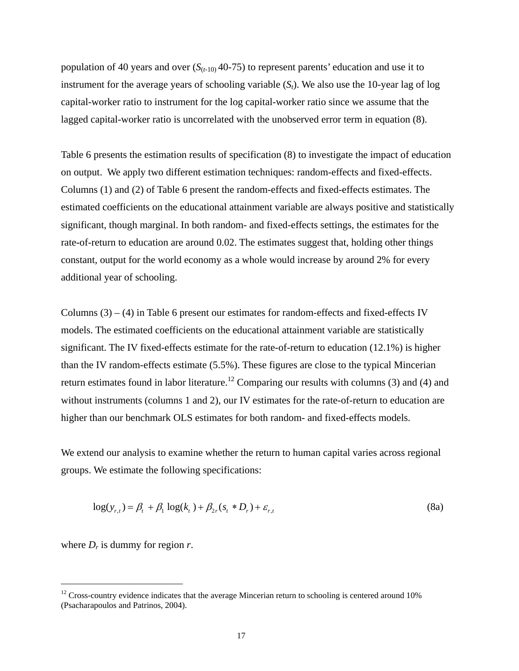population of 40 years and over  $(S_{(t-10)}$  40-75) to represent parents' education and use it to instrument for the average years of schooling variable (*St*). We also use the 10-year lag of log capital-worker ratio to instrument for the log capital-worker ratio since we assume that the lagged capital-worker ratio is uncorrelated with the unobserved error term in equation (8).

Table 6 presents the estimation results of specification (8) to investigate the impact of education on output. We apply two different estimation techniques: random-effects and fixed-effects. Columns (1) and (2) of Table 6 present the random-effects and fixed-effects estimates. The estimated coefficients on the educational attainment variable are always positive and statistically significant, though marginal. In both random- and fixed-effects settings, the estimates for the rate-of-return to education are around 0.02. The estimates suggest that, holding other things constant, output for the world economy as a whole would increase by around 2% for every additional year of schooling.

Columns  $(3) - (4)$  in Table 6 present our estimates for random-effects and fixed-effects IV models. The estimated coefficients on the educational attainment variable are statistically significant. The IV fixed-effects estimate for the rate-of-return to education (12.1%) is higher than the IV random-effects estimate (5.5%). These figures are close to the typical Mincerian return estimates found in labor literature.<sup>12</sup> Comparing our results with columns (3) and (4) and without instruments (columns 1 and 2), our IV estimates for the rate-of-return to education are higher than our benchmark OLS estimates for both random- and fixed-effects models.

We extend our analysis to examine whether the return to human capital varies across regional groups. We estimate the following specifications:

$$
\log(y_{r,t}) = \beta_t + \beta_1 \log(k_t) + \beta_{2r}(s_t * D_r) + \varepsilon_{r,t}
$$
\n(8a)

where  $D_r$  is dummy for region  $r$ .

 $12$  Cross-country evidence indicates that the average Mincerian return to schooling is centered around 10% (Psacharapoulos and Patrinos, 2004).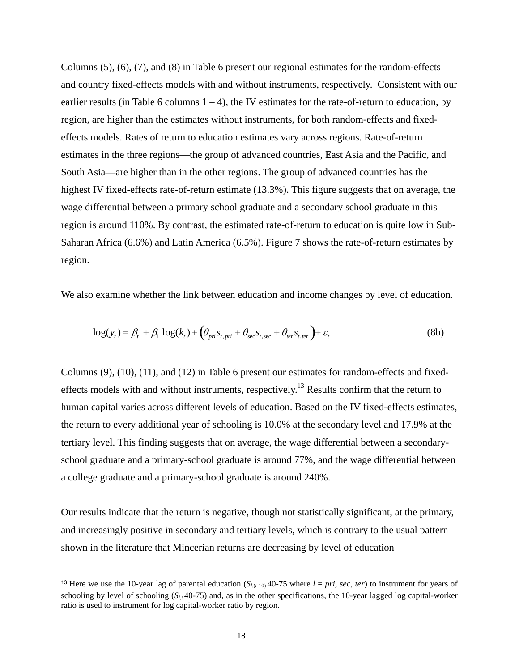Columns (5), (6), (7), and (8) in Table 6 present our regional estimates for the random-effects and country fixed-effects models with and without instruments, respectively. Consistent with our earlier results (in Table 6 columns  $1 - 4$ ), the IV estimates for the rate-of-return to education, by region, are higher than the estimates without instruments, for both random-effects and fixedeffects models. Rates of return to education estimates vary across regions. Rate-of-return estimates in the three regions—the group of advanced countries, East Asia and the Pacific, and South Asia—are higher than in the other regions. The group of advanced countries has the highest IV fixed-effects rate-of-return estimate (13.3%). This figure suggests that on average, the wage differential between a primary school graduate and a secondary school graduate in this region is around 110%. By contrast, the estimated rate-of-return to education is quite low in Sub-Saharan Africa (6.6%) and Latin America (6.5%). Figure 7 shows the rate-of-return estimates by region.

We also examine whether the link between education and income changes by level of education.

$$
\log(y_t) = \beta_t + \beta_1 \log(k_t) + \left(\theta_{pri} s_{t, pri} + \theta_{\sec} s_{t, \sec} + \theta_{ter} s_{t, ter}\right) + \varepsilon_t
$$
\n(8b)

Columns (9), (10), (11), and (12) in Table 6 present our estimates for random-effects and fixedeffects models with and without instruments, respectively.<sup>13</sup> Results confirm that the return to human capital varies across different levels of education. Based on the IV fixed-effects estimates, the return to every additional year of schooling is 10.0% at the secondary level and 17.9% at the tertiary level. This finding suggests that on average, the wage differential between a secondaryschool graduate and a primary-school graduate is around 77%, and the wage differential between a college graduate and a primary-school graduate is around 240%.

Our results indicate that the return is negative, though not statistically significant, at the primary, and increasingly positive in secondary and tertiary levels, which is contrary to the usual pattern shown in the literature that Mincerian returns are decreasing by level of education

<sup>&</sup>lt;sup>13</sup> Here we use the 10-year lag of parental education  $(S_{l(t-10)}40-75$  where  $l = pri$ , *sec*, *ter*) to instrument for years of schooling by level of schooling  $(S_{l,t}$ 40-75) and, as in the other specifications, the 10-year lagged log capital-worker ratio is used to instrument for log capital-worker ratio by region.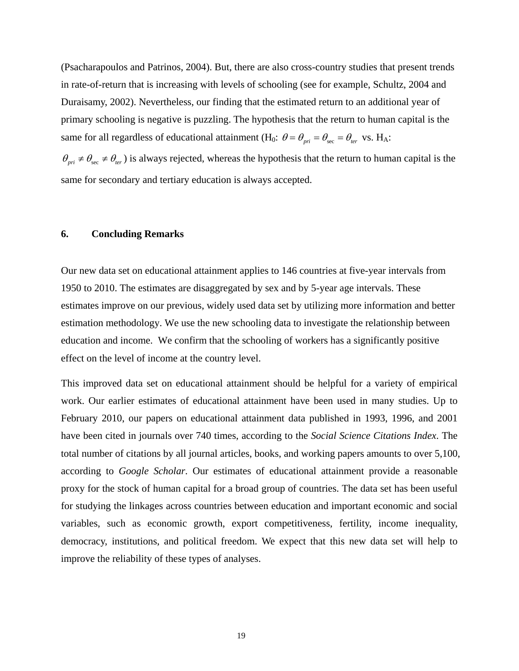(Psacharapoulos and Patrinos, 2004). But, there are also cross-country studies that present trends in rate-of-return that is increasing with levels of schooling (see for example, Schultz, 2004 and Duraisamy, 2002). Nevertheless, our finding that the estimated return to an additional year of primary schooling is negative is puzzling. The hypothesis that the return to human capital is the same for all regardless of educational attainment (H<sub>0</sub>:  $\theta = \theta_{\text{net}} = \theta_{\text{sec}} = \theta_{\text{ter}}$  vs. H<sub>A</sub>:

 $\theta_{pri} \neq \theta_{sec} \neq \theta_{ter}$ ) is always rejected, whereas the hypothesis that the return to human capital is the same for secondary and tertiary education is always accepted.

#### **6. Concluding Remarks**

Our new data set on educational attainment applies to 146 countries at five-year intervals from 1950 to 2010. The estimates are disaggregated by sex and by 5-year age intervals. These estimates improve on our previous, widely used data set by utilizing more information and better estimation methodology. We use the new schooling data to investigate the relationship between education and income. We confirm that the schooling of workers has a significantly positive effect on the level of income at the country level.

This improved data set on educational attainment should be helpful for a variety of empirical work. Our earlier estimates of educational attainment have been used in many studies. Up to February 2010, our papers on educational attainment data published in 1993, 1996, and 2001 have been cited in journals over 740 times, according to the *Social Science Citations Index*. The total number of citations by all journal articles, books, and working papers amounts to over 5,100, according to *Google Scholar*. Our estimates of educational attainment provide a reasonable proxy for the stock of human capital for a broad group of countries. The data set has been useful for studying the linkages across countries between education and important economic and social variables, such as economic growth, export competitiveness, fertility, income inequality, democracy, institutions, and political freedom. We expect that this new data set will help to improve the reliability of these types of analyses.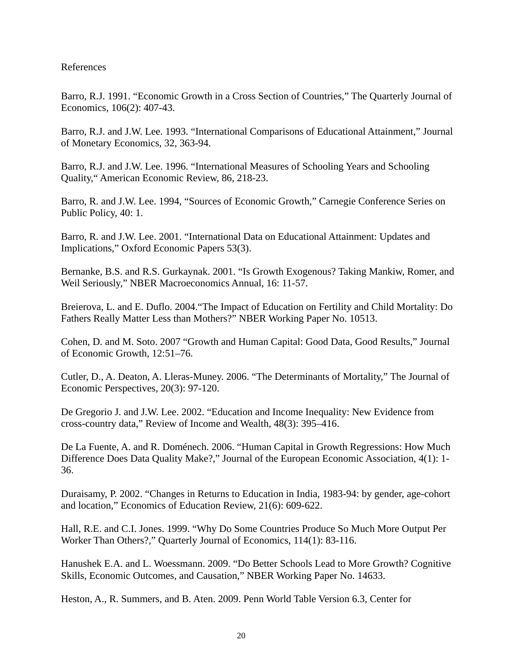## References

Barro, R.J. 1991. "Economic Growth in a Cross Section of Countries," The Quarterly Journal of Economics, 106(2): 407-43.

Barro, R.J. and J.W. Lee. 1993. "International Comparisons of Educational Attainment," Journal of Monetary Economics, 32, 363-94.

Barro, R.J. and J.W. Lee. 1996. "International Measures of Schooling Years and Schooling Quality," American Economic Review, 86, 218-23.

Barro, R. and J.W. Lee. 1994, "Sources of Economic Growth," Carnegie Conference Series on Public Policy, 40: 1.

Barro, R. and J.W. Lee. 2001. "International Data on Educational Attainment: Updates and Implications," Oxford Economic Papers 53(3).

Bernanke, B.S. and R.S. Gurkaynak. 2001. "Is Growth Exogenous? Taking Mankiw, Romer, and Weil Seriously," NBER Macroeconomics Annual, 16: 11-57.

Breierova, L. and E. Duflo. 2004."The Impact of Education on Fertility and Child Mortality: Do Fathers Really Matter Less than Mothers?" NBER Working Paper No. 10513.

Cohen, D. and M. Soto. 2007 "Growth and Human Capital: Good Data, Good Results," Journal of Economic Growth, 12:51–76.

Cutler, D., A. Deaton, A. Lleras-Muney. 2006. "The Determinants of Mortality," The Journal of Economic Perspectives, 20(3): 97-120.

De Gregorio J. and J.W. Lee. 2002. "Education and Income Inequality: New Evidence from cross-country data," Review of Income and Wealth, 48(3): 395–416.

De La Fuente, A. and R. Doménech. 2006. "Human Capital in Growth Regressions: How Much Difference Does Data Quality Make?," Journal of the European Economic Association, 4(1): 1- 36.

Duraisamy, P. 2002. "Changes in Returns to Education in India, 1983-94: by gender, age-cohort and location," Economics of Education Review, 21(6): 609-622.

Hall, R.E. and C.I. Jones. 1999. "Why Do Some Countries Produce So Much More Output Per Worker Than Others?," Quarterly Journal of Economics, 114(1): 83-116.

Hanushek E.A. and L. Woessmann. 2009. "Do Better Schools Lead to More Growth? Cognitive Skills, Economic Outcomes, and Causation," NBER Working Paper No. 14633.

Heston, A., R. Summers, and B. Aten. 2009. Penn World Table Version 6.3, Center for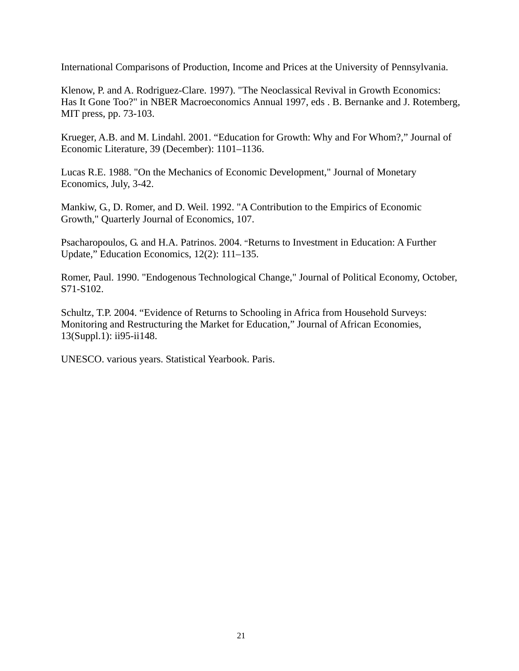International Comparisons of Production, Income and Prices at the University of Pennsylvania.

Klenow, P. and A. Rodriguez-Clare. 1997). "The Neoclassical Revival in Growth Economics: Has It Gone Too?" in NBER Macroeconomics Annual 1997, eds . B. Bernanke and J. Rotemberg, MIT press, pp. 73-103.

Krueger, A.B. and M. Lindahl. 2001. "Education for Growth: Why and For Whom?," Journal of Economic Literature, 39 (December): 1101–1136.

Lucas R.E. 1988. "On the Mechanics of Economic Development," Journal of Monetary Economics, July, 3-42.

Mankiw, G., D. Romer, and D. Weil. 1992. "A Contribution to the Empirics of Economic Growth," Quarterly Journal of Economics, 107.

Psacharopoulos, G. and H.A. Patrinos. 2004. "Returns to Investment in Education: A Further Update," Education Economics, 12(2): 111–135.

Romer, Paul. 1990. "Endogenous Technological Change," Journal of Political Economy, October, S71-S102.

Schultz, T.P. 2004. "Evidence of Returns to Schooling in Africa from Household Surveys: Monitoring and Restructuring the Market for Education," Journal of African Economies, 13(Suppl.1): ii95-ii148.

UNESCO. various years. Statistical Yearbook. Paris.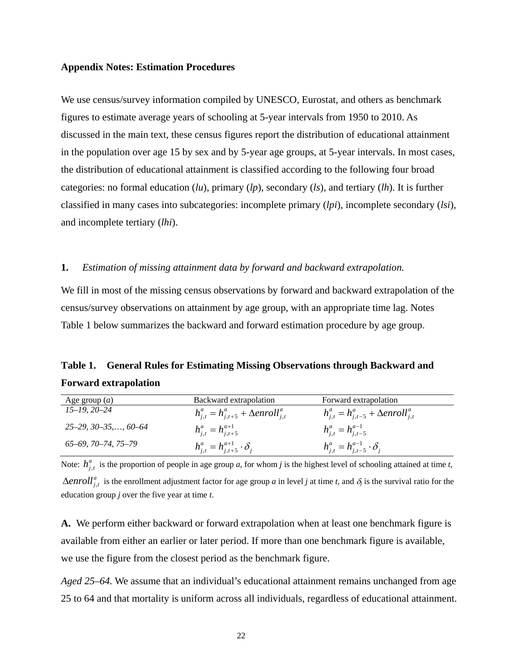#### **Appendix Notes: Estimation Procedures**

We use census/survey information compiled by UNESCO, Eurostat, and others as benchmark figures to estimate average years of schooling at 5-year intervals from 1950 to 2010. As discussed in the main text, these census figures report the distribution of educational attainment in the population over age 15 by sex and by 5-year age groups, at 5-year intervals. In most cases, the distribution of educational attainment is classified according to the following four broad categories: no formal education (*lu*), primary (*lp*), secondary (*ls*), and tertiary (*lh*). It is further classified in many cases into subcategories: incomplete primary (*lpi*), incomplete secondary (*lsi*), and incomplete tertiary (*lhi*).

#### **1.** *Estimation of missing attainment data by forward and backward extrapolation.*

We fill in most of the missing census observations by forward and backward extrapolation of the census/survey observations on attainment by age group, with an appropriate time lag. Notes Table 1 below summarizes the backward and forward estimation procedure by age group.

## **Table 1. General Rules for Estimating Missing Observations through Backward and Forward extrapolation**

| Age group $(a)$               | Backward extrapolation                            | Forward extrapolation                             |
|-------------------------------|---------------------------------------------------|---------------------------------------------------|
| $15-19, 20-24$                | $h_{i,t}^a = h_{i,t+5}^a + \Delta enroll_{i,t}^a$ | $h_{i,t}^a = h_{i,t-5}^a + \Delta enroll_{i,t}^a$ |
| $25-29, 30-35, \ldots, 60-64$ | $h_{i,t}^a = h_{i,t+5}^{a+1}$                     | $h_{i,t}^a = h_{i,t-5}^{a-1}$                     |
| 65–69, 70–74, 75–79           | $h_{i,t}^a = h_{i,t+5}^{a+1} \cdot \delta_i$      | $h_{i,t}^a = h_{i,t-5}^{a-1} \cdot \delta_i$      |

Note:  $h_{j,t}^a$  is the proportion of people in age group *a*, for whom *j* is the highest level of schooling attained at time *t*,  $\Delta enroll_{j,t}^a$  is the enrollment adjustment factor for age group *a* in level *j* at time *t*, and  $\delta_j$  is the survival ratio for the education group *j* over the five year at time *t*.

**A.** We perform either backward or forward extrapolation when at least one benchmark figure is available from either an earlier or later period. If more than one benchmark figure is available, we use the figure from the closest period as the benchmark figure.

*Aged 25–64.* We assume that an individual's educational attainment remains unchanged from age 25 to 64 and that mortality is uniform across all individuals, regardless of educational attainment.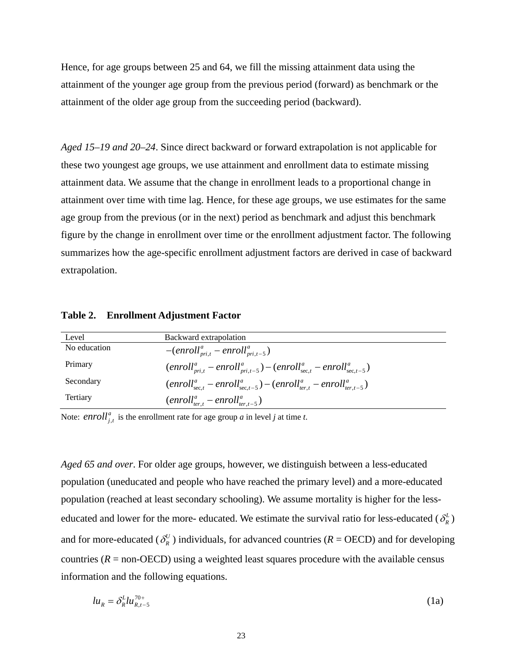Hence, for age groups between 25 and 64, we fill the missing attainment data using the attainment of the younger age group from the previous period (forward) as benchmark or the attainment of the older age group from the succeeding period (backward).

*Aged 15–19 and 20–24*. Since direct backward or forward extrapolation is not applicable for these two youngest age groups, we use attainment and enrollment data to estimate missing attainment data. We assume that the change in enrollment leads to a proportional change in attainment over time with time lag. Hence, for these age groups, we use estimates for the same age group from the previous (or in the next) period as benchmark and adjust this benchmark figure by the change in enrollment over time or the enrollment adjustment factor. The following summarizes how the age-specific enrollment adjustment factors are derived in case of backward extrapolation.

| Level        | Backward extrapolation                                                        |
|--------------|-------------------------------------------------------------------------------|
| No education | $-(enrollpri,ta - enrollpri,t-5a)$                                            |
| Primary      | $(enrollmita - enrollmit-5a) - (enrollsec.ta - enrollsec.t-5a)$               |
| Secondary    | $(enroll_{sec,t}^a-enroll_{sec,t-5}^a)-(enroll_{ter,t}^a-enroll_{ter,t-5}^a)$ |
| Tertiary     | $(enrollter.ta - enrollter.t-5a)$                                             |

Note: *enroll*<sup> $a$ </sup>,*t* is the enrollment rate for age group *a* in level *j* at time *t*.

*Aged 65 and over*. For older age groups, however, we distinguish between a less-educated population (uneducated and people who have reached the primary level) and a more-educated population (reached at least secondary schooling). We assume mortality is higher for the lesseducated and lower for the more- educated. We estimate the survival ratio for less-educated  $(\delta_R^L)$ and for more-educated ( $\delta_R^U$ ) individuals, for advanced countries ( $R =$ OECD) and for developing countries  $(R = \text{non-OECD})$  using a weighted least squares procedure with the available census information and the following equations.

$$
lu_R = \delta_R^L lu_{R,t-5}^{\gamma_0+} \tag{1a}
$$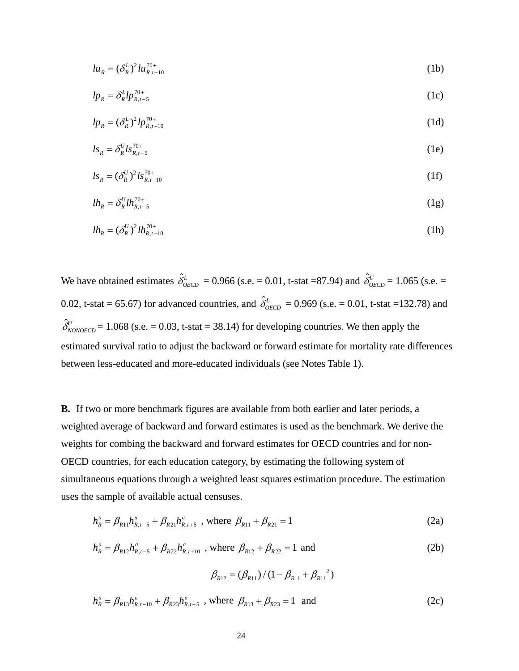$$
lu_R = (\delta_R^L)^2 lu_{R,t-10}^{\gamma_0+} \tag{1b}
$$

$$
lp_{R} = \delta_{R}^{L}lp_{R,t-5}^{\pi_{0+}} \tag{1c}
$$

$$
lp_R = (\delta_R^L)^2 lp_{R,t-10}^{\gamma_{0+}} \tag{1d}
$$

$$
ls_{R} = \delta_{R}^{U} ls_{R,t-5}^{\gamma_{0+}} \tag{1e}
$$

$$
ls_{R} = (\delta_{R}^{U})^{2} ls_{R,t-10}^{\pi_{0+}} \tag{1f}
$$

$$
lh_R = \delta_R^{U} l h_{R,t-5}^{T^{0+}} \tag{1g}
$$

$$
lh_R = (\delta_R^U)^2 lh_{R,t-10}^{\gamma_{0+}} \tag{1h}
$$

We have obtained estimates  $\hat{\delta}^L_{\text{OECD}} = 0.966$  (s.e. = 0.01, t-stat =87.94) and  $\hat{\delta}^U_{\text{OECD}} = 1.065$  (s.e. = 0.02, t-stat = 65.67) for advanced countries, and  $\hat{\delta}^L_{\text{OECD}} = 0.969$  (s.e. = 0.01, t-stat =132.78) and  $\hat{\delta}_{\text{NONOECD}}^{U}$  = 1.068 (s.e. = 0.03, t-stat = 38.14) for developing countries. We then apply the estimated survival ratio to adjust the backward or forward estimate for mortality rate differences between less-educated and more-educated individuals (see Notes Table 1).

**B.** If two or more benchmark figures are available from both earlier and later periods, a weighted average of backward and forward estimates is used as the benchmark. We derive the weights for combing the backward and forward estimates for OECD countries and for non-OECD countries, for each education category, by estimating the following system of simultaneous equations through a weighted least squares estimation procedure. The estimation uses the sample of available actual censuses.

$$
h_R^a = \beta_{R11} h_{R,t-5}^a + \beta_{R21} h_{R,t+5}^a \text{ , where } \beta_{R11} + \beta_{R21} = 1 \tag{2a}
$$

$$
h_R^a = \beta_{R12} h_{R,t-5}^a + \beta_{R22} h_{R,t+10}^a \text{ , where } \beta_{R12} + \beta_{R22} = 1 \text{ and } (2b)
$$

$$
\beta_{R12} = (\beta_{R11}) / (1 - \beta_{R11} + \beta_{R11}^2)
$$

$$
h_R^a = \beta_{R13} h_{R,t-10}^a + \beta_{R23} h_{R,t+5}^a \text{ , where } \beta_{R13} + \beta_{R23} = 1 \text{ and } (2c)
$$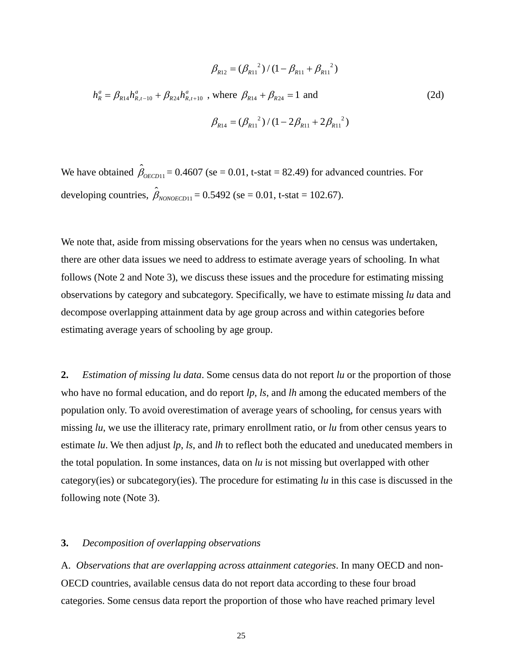$$
\beta_{R12} = (\beta_{R11}^{2}) / (1 - \beta_{R11} + \beta_{R11}^{2})
$$
  

$$
h_{R}^{a} = \beta_{R14} h_{R,t-10}^{a} + \beta_{R24} h_{R,t+10}^{a}
$$
, where  $\beta_{R14} + \beta_{R24} = 1$  and  

$$
\beta_{R14} = (\beta_{R11}^{2}) / (1 - 2\beta_{R11} + 2\beta_{R11}^{2})
$$
 (2d)

We have obtained  $\hat{\beta}_{\text{OECD11}} = 0.4607$  (se = 0.01, t-stat = 82.49) for advanced countries. For developing countries,  $\hat{\beta}_{NONOECD11} = 0.5492$  (se = 0.01, t-stat = 102.67).

We note that, aside from missing observations for the years when no census was undertaken, there are other data issues we need to address to estimate average years of schooling. In what follows (Note 2 and Note 3), we discuss these issues and the procedure for estimating missing observations by category and subcategory. Specifically, we have to estimate missing *lu* data and decompose overlapping attainment data by age group across and within categories before estimating average years of schooling by age group.

**2.** *Estimation of missing lu data*. Some census data do not report *lu* or the proportion of those who have no formal education, and do report *lp*, *ls*, and *lh* among the educated members of the population only. To avoid overestimation of average years of schooling, for census years with missing *lu*, we use the illiteracy rate, primary enrollment ratio, or *lu* from other census years to estimate *lu*. We then adjust *lp*, *ls*, and *lh* to reflect both the educated and uneducated members in the total population. In some instances, data on *lu* is not missing but overlapped with other category(ies) or subcategory(ies). The procedure for estimating *lu* in this case is discussed in the following note (Note 3).

#### **3.** *Decomposition of overlapping observations*

A. *Observations that are overlapping across attainment categories*. In many OECD and non-OECD countries, available census data do not report data according to these four broad categories. Some census data report the proportion of those who have reached primary level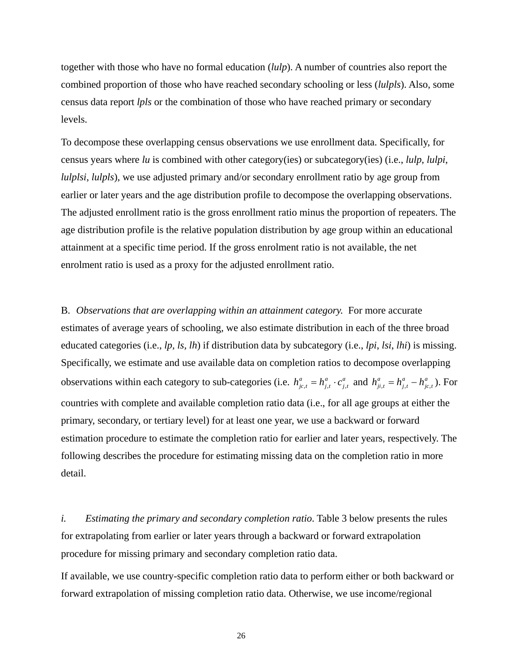together with those who have no formal education (*lulp*). A number of countries also report the combined proportion of those who have reached secondary schooling or less (*lulpls*). Also, some census data report *lpls* or the combination of those who have reached primary or secondary levels.

To decompose these overlapping census observations we use enrollment data. Specifically, for census years where *lu* is combined with other category(ies) or subcategory(ies) (i.e., *lulp*, *lulpi*, *lulplsi*, *lulpls*), we use adjusted primary and/or secondary enrollment ratio by age group from earlier or later years and the age distribution profile to decompose the overlapping observations. The adjusted enrollment ratio is the gross enrollment ratio minus the proportion of repeaters. The age distribution profile is the relative population distribution by age group within an educational attainment at a specific time period. If the gross enrolment ratio is not available, the net enrolment ratio is used as a proxy for the adjusted enrollment ratio.

B. *Observations that are overlapping within an attainment category.* For more accurate estimates of average years of schooling, we also estimate distribution in each of the three broad educated categories (i.e., *lp, ls, lh*) if distribution data by subcategory (i.e., *lpi*, *lsi*, *lhi*) is missing. Specifically, we estimate and use available data on completion ratios to decompose overlapping observations within each category to sub-categories (i.e.  $h_{j_c,t}^a = h_{j,t}^a \cdot c_{j,t}^a$  and  $h_{ji,t}^a = h_{j,t}^a - h_{j_c,t}^a$ ). For countries with complete and available completion ratio data (i.e., for all age groups at either the primary, secondary, or tertiary level) for at least one year, we use a backward or forward estimation procedure to estimate the completion ratio for earlier and later years, respectively. The following describes the procedure for estimating missing data on the completion ratio in more detail.

*i. Estimating the primary and secondary completion ratio.* Table 3 below presents the rules for extrapolating from earlier or later years through a backward or forward extrapolation procedure for missing primary and secondary completion ratio data.

If available, we use country-specific completion ratio data to perform either or both backward or forward extrapolation of missing completion ratio data. Otherwise, we use income/regional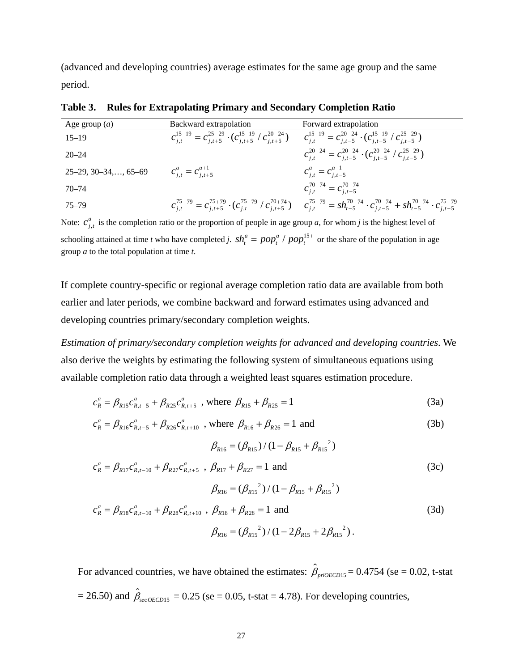(advanced and developing countries) average estimates for the same age group and the same period.

| Age group $(a)$               | Backward extrapolation                                                                                                                                                       | Forward extrapolation                                                                                                                                                                          |
|-------------------------------|------------------------------------------------------------------------------------------------------------------------------------------------------------------------------|------------------------------------------------------------------------------------------------------------------------------------------------------------------------------------------------|
| $15 - 19$                     | $c_{i,t}^{15-19} = c_{i,t+5}^{25-29} \cdot (c_{i,t+5}^{15-19} / c_{i,t+5}^{20-24}) \qquad c_{i,t}^{15-19} = c_{i,t-5}^{20-24} \cdot (c_{i,t-5}^{15-19} / c_{i,t-5}^{25-29})$ |                                                                                                                                                                                                |
| $20 - 24$                     |                                                                                                                                                                              | $c_{i,t}^{20-24} = c_{i,t-5}^{20-24} \cdot (c_{i,t-5}^{20-24} / c_{i,t-5}^{25-29})$                                                                                                            |
| $25-29, 30-34, \ldots, 65-69$ | $c_{i,t}^a = c_{i,t+5}^{a+1}$                                                                                                                                                | $c_{i,t}^a = c_{i,t-5}^{a-1}$                                                                                                                                                                  |
| 70–74                         |                                                                                                                                                                              | $c_{i,t}^{70-74} = c_{i,t-5}^{70-74}$                                                                                                                                                          |
| 75–79                         |                                                                                                                                                                              | $c_{i,t}^{75-79} = c_{i,t+5}^{75+79} \cdot (c_{i,t}^{75-79} / c_{i,t+5}^{70+74}) \qquad c_{i,t}^{75-79} = sh_{t-5}^{70-74} \cdot c_{i,t-5}^{70-74} + sh_{t-5}^{70-74} \cdot c_{i,t-5}^{75-79}$ |

**Table 3. Rules for Extrapolating Primary and Secondary Completion Ratio** 

Note:  $c_{j,t}^a$  is the completion ratio or the proportion of people in age group *a*, for whom *j* is the highest level of schooling attained at time *t* who have completed *j.*  $sh_t^a = pop_t^a / pop_t^{15+}$  or the share of the population in age group *a* to the total population at time *t*.

If complete country-specific or regional average completion ratio data are available from both earlier and later periods, we combine backward and forward estimates using advanced and developing countries primary/secondary completion weights.

*Estimation of primary/secondary completion weights for advanced and developing countries*. We also derive the weights by estimating the following system of simultaneous equations using available completion ratio data through a weighted least squares estimation procedure.

$$
c_R^a = \beta_{R15} c_{R,t-5}^a + \beta_{R25} c_{R,t+5}^a \text{ , where } \beta_{R15} + \beta_{R25} = 1 \tag{3a}
$$

$$
c_R^a = \beta_{R16} c_{R,t-5}^a + \beta_{R26} c_{R,t+10}^a \text{ , where } \beta_{R16} + \beta_{R26} = 1 \text{ and } (3b)
$$

$$
\beta_{R16} = (\beta_{R15}) / (1 - \beta_{R15} + \beta_{R15}^{2})
$$
  

$$
c_{R}^{a} = \beta_{R17} c_{R,t-10}^{a} + \beta_{R27} c_{R,t+5}^{a}, \ \beta_{R17} + \beta_{R27} = 1 \text{ and}
$$
 (3c)

$$
\beta_{R16} = (\beta_{R15}^2) / (1 - \beta_{R15} + \beta_{R15}^2)
$$
  

$$
c_R^a = \beta_{R18} c_{R,t-10}^a + \beta_{R28} c_{R,t+10}^a , \beta_{R18} + \beta_{R28} = 1 \text{ and}
$$
  

$$
\beta_{R16} = (\beta_{R15}^2) / (1 - 2\beta_{R15} + 2\beta_{R15}^2).
$$
 (3d)

For advanced countries, we have obtained the estimates:  $\hat{\beta}_{priorCD15} = 0.4754$  (se = 0.02, t-stat  $= 26.50$ ) and  $\hat{\beta}_{\text{sec}o\text{ECD15}} = 0.25$  (se  $= 0.05$ , t-stat  $= 4.78$ ). For developing countries,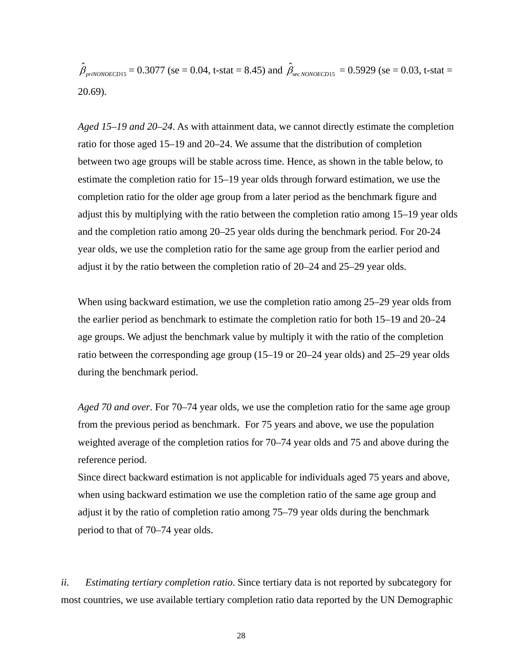$\hat{\beta}_{piNONOECD15} = 0.3077$  (se = 0.04, t-stat = 8.45) and  $\hat{\beta}_{sec NONOECD15} = 0.5929$  (se = 0.03, t-stat = 20.69).

*Aged 15*–*19 and 20*–*24*. As with attainment data, we cannot directly estimate the completion ratio for those aged 15–19 and 20–24. We assume that the distribution of completion between two age groups will be stable across time. Hence, as shown in the table below, to estimate the completion ratio for 15–19 year olds through forward estimation, we use the completion ratio for the older age group from a later period as the benchmark figure and adjust this by multiplying with the ratio between the completion ratio among 15–19 year olds and the completion ratio among 20–25 year olds during the benchmark period. For 20-24 year olds, we use the completion ratio for the same age group from the earlier period and adjust it by the ratio between the completion ratio of 20–24 and 25–29 year olds.

When using backward estimation, we use the completion ratio among 25–29 year olds from the earlier period as benchmark to estimate the completion ratio for both 15–19 and 20–24 age groups. We adjust the benchmark value by multiply it with the ratio of the completion ratio between the corresponding age group (15–19 or 20–24 year olds) and 25–29 year olds during the benchmark period.

*Aged 70 and over*. For 70–74 year olds, we use the completion ratio for the same age group from the previous period as benchmark. For 75 years and above, we use the population weighted average of the completion ratios for 70–74 year olds and 75 and above during the reference period.

Since direct backward estimation is not applicable for individuals aged 75 years and above, when using backward estimation we use the completion ratio of the same age group and adjust it by the ratio of completion ratio among 75–79 year olds during the benchmark period to that of 70–74 year olds.

*ii. Estimating tertiary completion ratio*. Since tertiary data is not reported by subcategory for most countries, we use available tertiary completion ratio data reported by the UN Demographic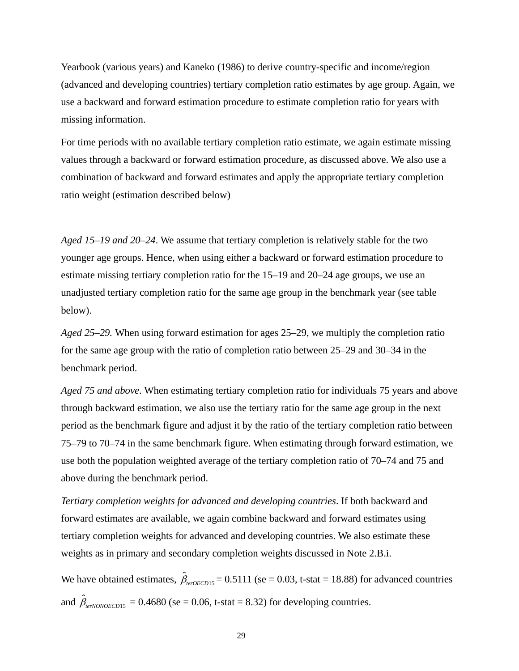Yearbook (various years) and Kaneko (1986) to derive country-specific and income/region (advanced and developing countries) tertiary completion ratio estimates by age group. Again, we use a backward and forward estimation procedure to estimate completion ratio for years with missing information.

For time periods with no available tertiary completion ratio estimate, we again estimate missing values through a backward or forward estimation procedure, as discussed above. We also use a combination of backward and forward estimates and apply the appropriate tertiary completion ratio weight (estimation described below)

*Aged 15*–*19 and 20*–*24*. We assume that tertiary completion is relatively stable for the two younger age groups. Hence, when using either a backward or forward estimation procedure to estimate missing tertiary completion ratio for the 15–19 and 20–24 age groups, we use an unadjusted tertiary completion ratio for the same age group in the benchmark year (see table below).

*Aged 25*–*29.* When using forward estimation for ages 25–29, we multiply the completion ratio for the same age group with the ratio of completion ratio between 25–29 and 30–34 in the benchmark period.

*Aged 75 and above*. When estimating tertiary completion ratio for individuals 75 years and above through backward estimation, we also use the tertiary ratio for the same age group in the next period as the benchmark figure and adjust it by the ratio of the tertiary completion ratio between 75–79 to 70–74 in the same benchmark figure. When estimating through forward estimation, we use both the population weighted average of the tertiary completion ratio of 70–74 and 75 and above during the benchmark period.

*Tertiary completion weights for advanced and developing countries*. If both backward and forward estimates are available, we again combine backward and forward estimates using tertiary completion weights for advanced and developing countries. We also estimate these weights as in primary and secondary completion weights discussed in Note 2.B.i.

We have obtained estimates,  $\hat{\beta}_{\text{terOECD15}} = 0.5111$  (se = 0.03, t-stat = 18.88) for advanced countries and  $\hat{\beta}_{\text{terNonOECD15}} = 0.4680$  (se = 0.06, t-stat = 8.32) for developing countries.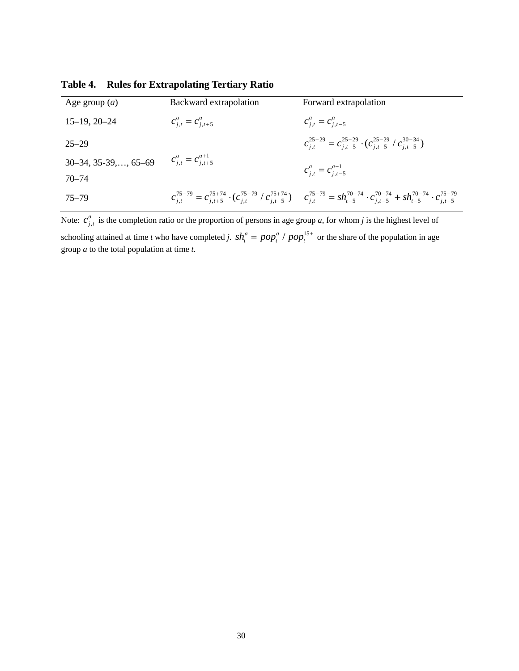| Age group $(a)$                                    | Backward extrapolation    | Forward extrapolation                                                                                                                                                                          |
|----------------------------------------------------|---------------------------|------------------------------------------------------------------------------------------------------------------------------------------------------------------------------------------------|
| $15-19, 20-24$                                     | $c_{i,t}^a = c_{i,t+5}^a$ | $c_{i,t}^a = c_{i,t-5}^a$                                                                                                                                                                      |
| $25 - 29$                                          |                           | $c_{i,t}^{25-29} = c_{i,t-5}^{25-29} \cdot (c_{i,t-5}^{25-29} / c_{i,t-5}^{30-34})$                                                                                                            |
| 30–34, 35-39,, 65–69 $c_{j,t}^a = c_{j,t+5}^{a+1}$ |                           | $c_{i,t}^a = c_{i,t-5}^{a-1}$                                                                                                                                                                  |
| $70 - 74$                                          |                           |                                                                                                                                                                                                |
| $75 - 79$                                          |                           | $c_{i,t}^{75-79} = c_{i,t+5}^{75+74} \cdot (c_{i,t}^{75-79} / c_{i,t+5}^{75+74}) \qquad c_{i,t}^{75-79} = sh_{t-5}^{70-74} \cdot c_{i,t-5}^{70-74} + sh_{t-5}^{70-74} \cdot c_{i,t-5}^{75-79}$ |

**Table 4. Rules for Extrapolating Tertiary Ratio**

Note:  $c_{j,t}^a$  is the completion ratio or the proportion of persons in age group *a*, for whom *j* is the highest level of schooling attained at time *t* who have completed *j.*  $sh_t^a = pop_t^a / pop_t^{15+}$  or the share of the population in age group *a* to the total population at time *t*.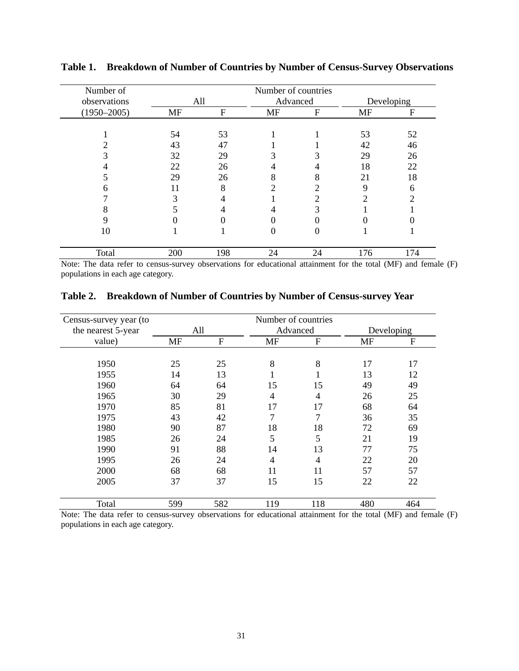| Number of       | Number of countries |     |           |    |           |            |
|-----------------|---------------------|-----|-----------|----|-----------|------------|
| observations    |                     | All | Advanced  |    |           | Developing |
| $(1950 - 2005)$ | <b>MF</b>           | F   | <b>MF</b> | F  | <b>MF</b> | F          |
|                 |                     |     |           |    |           |            |
|                 | 54                  | 53  |           |    | 53        | 52         |
|                 | 43                  | 47  |           |    | 42        | 46         |
|                 | 32                  | 29  |           |    | 29        | 26         |
|                 | 22                  | 26  |           | 4  | 18        | 22         |
|                 | 29                  | 26  | 8         | 8  | 21        | 18         |
| n               | 11                  | 8   |           | ∍  | Q         | 6          |
|                 | 3                   |     |           | າ  |           | 2          |
| δ               |                     |     |           |    |           |            |
| 9               |                     |     |           |    |           |            |
| 10              |                     |     |           | 0  |           |            |
| Total           | 200                 | 198 | 24        | 24 | 176       | 174        |

**Table 1. Breakdown of Number of Countries by Number of Census-Survey Observations**

Note: The data refer to census-survey observations for educational attainment for the total (MF) and female (F) populations in each age category.

| Census-survey year (to |           |              | Number of countries |          |            |             |
|------------------------|-----------|--------------|---------------------|----------|------------|-------------|
| the nearest 5-year     |           | All          |                     | Advanced | Developing |             |
| value)                 | <b>MF</b> | $\mathbf{F}$ | <b>MF</b>           | F        | <b>MF</b>  | $\mathbf F$ |
|                        |           |              |                     |          |            |             |
| 1950                   | 25        | 25           | 8                   | 8        | 17         | 17          |
| 1955                   | 14        | 13           |                     |          | 13         | 12          |
| 1960                   | 64        | 64           | 15                  | 15       | 49         | 49          |
| 1965                   | 30        | 29           | $\overline{4}$      | 4        | 26         | 25          |
| 1970                   | 85        | 81           | 17                  | 17       | 68         | 64          |
| 1975                   | 43        | 42           | 7                   | 7        | 36         | 35          |
| 1980                   | 90        | 87           | 18                  | 18       | 72         | 69          |
| 1985                   | 26        | 24           | 5                   | 5        | 21         | 19          |
| 1990                   | 91        | 88           | 14                  | 13       | 77         | 75          |
| 1995                   | 26        | 24           | $\overline{4}$      | 4        | 22         | 20          |
| 2000                   | 68        | 68           | 11                  | 11       | 57         | 57          |
| 2005                   | 37        | 37           | 15                  | 15       | 22         | 22          |
| Total                  | 599       | 582          | 119                 | 118      | 480        | 464         |

Note: The data refer to census-survey observations for educational attainment for the total (MF) and female (F) populations in each age category.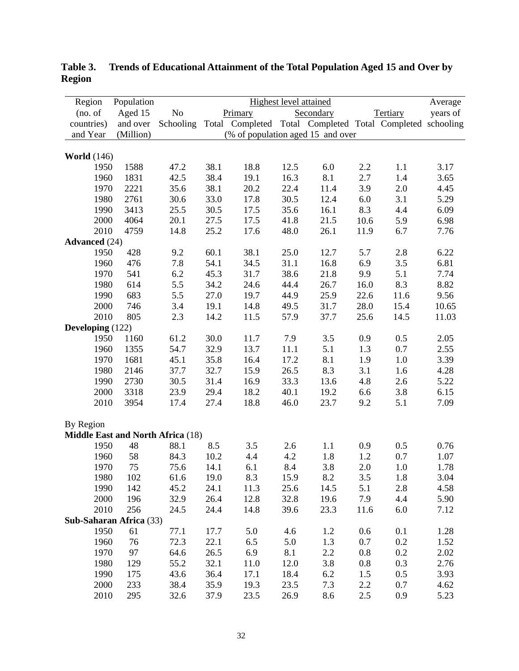| Region                                   | Population |           |      |                                   | <b>Highest level attained</b> |           |      |                                                           | Average  |
|------------------------------------------|------------|-----------|------|-----------------------------------|-------------------------------|-----------|------|-----------------------------------------------------------|----------|
| (no. of                                  | Aged 15    | $\rm No$  |      | Primary                           |                               | Secondary |      | Tertiary                                                  | years of |
| countries)                               | and over   | Schooling |      |                                   |                               |           |      | Total Completed Total Completed Total Completed schooling |          |
| and Year                                 | (Million)  |           |      | (% of population aged 15 and over |                               |           |      |                                                           |          |
|                                          |            |           |      |                                   |                               |           |      |                                                           |          |
| <b>World</b> (146)                       |            |           |      |                                   |                               |           |      |                                                           |          |
| 1950                                     | 1588       | 47.2      | 38.1 | 18.8                              | 12.5                          | 6.0       | 2.2  | 1.1                                                       | 3.17     |
| 1960                                     | 1831       | 42.5      | 38.4 | 19.1                              | 16.3                          | 8.1       | 2.7  | 1.4                                                       | 3.65     |
| 1970                                     | 2221       | 35.6      | 38.1 | 20.2                              | 22.4                          | 11.4      | 3.9  | 2.0                                                       | 4.45     |
| 1980                                     | 2761       | 30.6      | 33.0 | 17.8                              | 30.5                          | 12.4      | 6.0  | 3.1                                                       | 5.29     |
| 1990                                     | 3413       | 25.5      | 30.5 | 17.5                              | 35.6                          | 16.1      | 8.3  | 4.4                                                       | 6.09     |
| 2000                                     | 4064       | 20.1      | 27.5 | 17.5                              | 41.8                          | 21.5      | 10.6 | 5.9                                                       | 6.98     |
| 2010                                     | 4759       | 14.8      | 25.2 | 17.6                              | 48.0                          | 26.1      | 11.9 | 6.7                                                       | 7.76     |
| <b>Advanced</b> (24)                     |            |           |      |                                   |                               |           |      |                                                           |          |
| 1950                                     | 428        | 9.2       | 60.1 | 38.1                              | 25.0                          | 12.7      | 5.7  | 2.8                                                       | 6.22     |
| 1960                                     | 476        | 7.8       | 54.1 | 34.5                              | 31.1                          | 16.8      | 6.9  | 3.5                                                       | 6.81     |
| 1970                                     | 541        | 6.2       | 45.3 | 31.7                              | 38.6                          | 21.8      | 9.9  | 5.1                                                       | 7.74     |
| 1980                                     | 614        | 5.5       | 34.2 | 24.6                              | 44.4                          | 26.7      | 16.0 | 8.3                                                       | 8.82     |
| 1990                                     | 683        | 5.5       | 27.0 | 19.7                              | 44.9                          | 25.9      | 22.6 | 11.6                                                      | 9.56     |
| 2000                                     | 746        | 3.4       | 19.1 | 14.8                              | 49.5                          | 31.7      | 28.0 | 15.4                                                      | 10.65    |
| 2010                                     | 805        | 2.3       | 14.2 | 11.5                              | 57.9                          | 37.7      | 25.6 | 14.5                                                      | 11.03    |
| Developing (122)                         |            |           |      |                                   |                               |           |      |                                                           |          |
| 1950                                     | 1160       | 61.2      | 30.0 | 11.7                              | 7.9                           | 3.5       | 0.9  | 0.5                                                       | 2.05     |
| 1960                                     | 1355       | 54.7      | 32.9 | 13.7                              | 11.1                          | 5.1       | 1.3  | 0.7                                                       | 2.55     |
| 1970                                     | 1681       | 45.1      | 35.8 | 16.4                              | 17.2                          | 8.1       | 1.9  | 1.0                                                       | 3.39     |
| 1980                                     | 2146       | 37.7      | 32.7 | 15.9                              | 26.5                          | 8.3       | 3.1  | 1.6                                                       | 4.28     |
| 1990                                     | 2730       | 30.5      | 31.4 | 16.9                              | 33.3                          | 13.6      | 4.8  | 2.6                                                       | 5.22     |
| 2000                                     | 3318       | 23.9      | 29.4 | 18.2                              | 40.1                          | 19.2      | 6.6  | 3.8                                                       | 6.15     |
| 2010                                     | 3954       | 17.4      | 27.4 | 18.8                              | 46.0                          | 23.7      | 9.2  | 5.1                                                       | 7.09     |
|                                          |            |           |      |                                   |                               |           |      |                                                           |          |
| By Region                                |            |           |      |                                   |                               |           |      |                                                           |          |
| <b>Middle East and North Africa (18)</b> |            |           |      |                                   |                               |           |      |                                                           |          |
| 1950                                     | 48         | 88.1      | 8.5  | 3.5                               | 2.6                           | 1.1       | 0.9  | 0.5                                                       | 0.76     |
| 1960                                     | 58         | 84.3      | 10.2 | 4.4                               | 4.2                           | 1.8       | 1.2  | 0.7                                                       | 1.07     |
| 1970                                     | 75         | 75.6      | 14.1 | 6.1                               | 8.4                           | 3.8       | 2.0  | 1.0                                                       | 1.78     |
| 1980                                     | 102        | 61.6      | 19.0 | 8.3                               | 15.9                          | 8.2       | 3.5  | 1.8                                                       | 3.04     |
| 1990                                     | 142        | 45.2      | 24.1 | 11.3                              | 25.6                          | 14.5      | 5.1  | 2.8                                                       | 4.58     |
| 2000                                     | 196        | 32.9      | 26.4 | 12.8                              | 32.8                          | 19.6      | 7.9  | 4.4                                                       | 5.90     |
| 2010                                     | 256        | 24.5      | 24.4 | 14.8                              | 39.6                          | 23.3      | 11.6 | 6.0                                                       | 7.12     |
| Sub-Saharan Africa (33)                  |            |           |      |                                   |                               |           |      |                                                           |          |
| 1950                                     | 61         | 77.1      | 17.7 | 5.0                               | 4.6                           | 1.2       | 0.6  | 0.1                                                       | 1.28     |
| 1960                                     | 76         | 72.3      | 22.1 | 6.5                               | 5.0                           | 1.3       | 0.7  | 0.2                                                       | 1.52     |
| 1970                                     | 97         | 64.6      | 26.5 | 6.9                               | 8.1                           | 2.2       | 0.8  | 0.2                                                       | 2.02     |
| 1980                                     | 129        | 55.2      | 32.1 | 11.0                              | 12.0                          | 3.8       | 0.8  | 0.3                                                       | 2.76     |
| 1990                                     | 175        | 43.6      | 36.4 | 17.1                              | 18.4                          | 6.2       | 1.5  | 0.5                                                       | 3.93     |
| 2000                                     | 233        | 38.4      | 35.9 | 19.3                              | 23.5                          | 7.3       | 2.2  | 0.7                                                       | 4.62     |
| 2010                                     | 295        | 32.6      | 37.9 | 23.5                              | 26.9                          | 8.6       | 2.5  | 0.9                                                       | 5.23     |

**Table 3. Trends of Educational Attainment of the Total Population Aged 15 and Over by Region**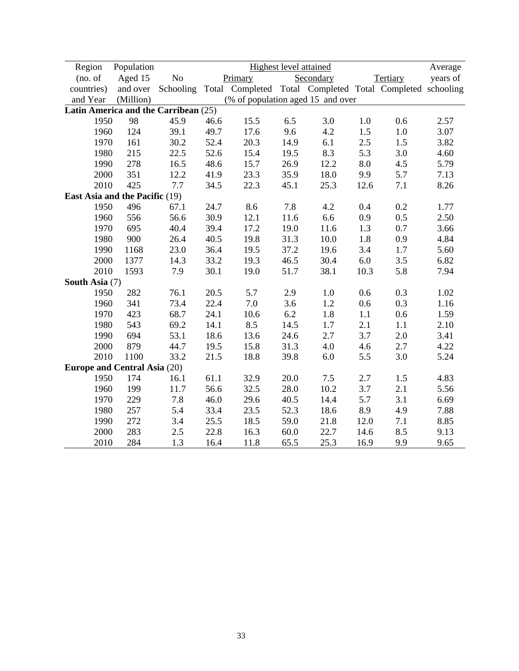| Region                               | Population |      |      |                                                                     |      | <b>Highest level attained</b> |         |          | Average  |
|--------------------------------------|------------|------|------|---------------------------------------------------------------------|------|-------------------------------|---------|----------|----------|
| (no. of                              | Aged 15    | No   |      | Primary                                                             |      | Secondary                     |         | Tertiary | years of |
| countries)                           | and over   |      |      | Schooling Total Completed Total Completed Total Completed schooling |      |                               |         |          |          |
| and Year                             | (Million)  |      |      | (% of population aged 15 and over                                   |      |                               |         |          |          |
| Latin America and the Carribean (25) |            |      |      |                                                                     |      |                               |         |          |          |
| 1950                                 | 98         | 45.9 | 46.6 | 15.5                                                                | 6.5  | 3.0                           | $1.0\,$ | 0.6      | 2.57     |
| 1960                                 | 124        | 39.1 | 49.7 | 17.6                                                                | 9.6  | 4.2                           | 1.5     | $1.0\,$  | 3.07     |
| 1970                                 | 161        | 30.2 | 52.4 | 20.3                                                                | 14.9 | 6.1                           | 2.5     | 1.5      | 3.82     |
| 1980                                 | 215        | 22.5 | 52.6 | 15.4                                                                | 19.5 | 8.3                           | 5.3     | 3.0      | 4.60     |
| 1990                                 | 278        | 16.5 | 48.6 | 15.7                                                                | 26.9 | 12.2                          | 8.0     | 4.5      | 5.79     |
| 2000                                 | 351        | 12.2 | 41.9 | 23.3                                                                | 35.9 | 18.0                          | 9.9     | 5.7      | 7.13     |
| 2010                                 | 425        | 7.7  | 34.5 | 22.3                                                                | 45.1 | 25.3                          | 12.6    | 7.1      | 8.26     |
| East Asia and the Pacific (19)       |            |      |      |                                                                     |      |                               |         |          |          |
| 1950                                 | 496        | 67.1 | 24.7 | 8.6                                                                 | 7.8  | 4.2                           | 0.4     | 0.2      | 1.77     |
| 1960                                 | 556        | 56.6 | 30.9 | 12.1                                                                | 11.6 | 6.6                           | 0.9     | 0.5      | 2.50     |
| 1970                                 | 695        | 40.4 | 39.4 | 17.2                                                                | 19.0 | 11.6                          | 1.3     | 0.7      | 3.66     |
| 1980                                 | 900        | 26.4 | 40.5 | 19.8                                                                | 31.3 | 10.0                          | 1.8     | 0.9      | 4.84     |
| 1990                                 | 1168       | 23.0 | 36.4 | 19.5                                                                | 37.2 | 19.6                          | 3.4     | 1.7      | 5.60     |
| 2000                                 | 1377       | 14.3 | 33.2 | 19.3                                                                | 46.5 | 30.4                          | 6.0     | 3.5      | 6.82     |
| 2010                                 | 1593       | 7.9  | 30.1 | 19.0                                                                | 51.7 | 38.1                          | 10.3    | 5.8      | 7.94     |
| South Asia (7)                       |            |      |      |                                                                     |      |                               |         |          |          |
| 1950                                 | 282        | 76.1 | 20.5 | 5.7                                                                 | 2.9  | $1.0\,$                       | 0.6     | 0.3      | 1.02     |
| 1960                                 | 341        | 73.4 | 22.4 | 7.0                                                                 | 3.6  | 1.2                           | 0.6     | 0.3      | 1.16     |
| 1970                                 | 423        | 68.7 | 24.1 | 10.6                                                                | 6.2  | 1.8                           | 1.1     | 0.6      | 1.59     |
| 1980                                 | 543        | 69.2 | 14.1 | 8.5                                                                 | 14.5 | 1.7                           | 2.1     | 1.1      | 2.10     |
| 1990                                 | 694        | 53.1 | 18.6 | 13.6                                                                | 24.6 | 2.7                           | 3.7     | 2.0      | 3.41     |
| 2000                                 | 879        | 44.7 | 19.5 | 15.8                                                                | 31.3 | 4.0                           | 4.6     | 2.7      | 4.22     |
| 2010                                 | 1100       | 33.2 | 21.5 | 18.8                                                                | 39.8 | 6.0                           | 5.5     | 3.0      | 5.24     |
| <b>Europe and Central Asia (20)</b>  |            |      |      |                                                                     |      |                               |         |          |          |
| 1950                                 | 174        | 16.1 | 61.1 | 32.9                                                                | 20.0 | 7.5                           | 2.7     | 1.5      | 4.83     |
| 1960                                 | 199        | 11.7 | 56.6 | 32.5                                                                | 28.0 | 10.2                          | 3.7     | 2.1      | 5.56     |
| 1970                                 | 229        | 7.8  | 46.0 | 29.6                                                                | 40.5 | 14.4                          | 5.7     | 3.1      | 6.69     |
| 1980                                 | 257        | 5.4  | 33.4 | 23.5                                                                | 52.3 | 18.6                          | 8.9     | 4.9      | 7.88     |
| 1990                                 | 272        | 3.4  | 25.5 | 18.5                                                                | 59.0 | 21.8                          | 12.0    | 7.1      | 8.85     |
| 2000                                 | 283        | 2.5  | 22.8 | 16.3                                                                | 60.0 | 22.7                          | 14.6    | 8.5      | 9.13     |
| 2010                                 | 284        | 1.3  | 16.4 | 11.8                                                                | 65.5 | 25.3                          | 16.9    | 9.9      | 9.65     |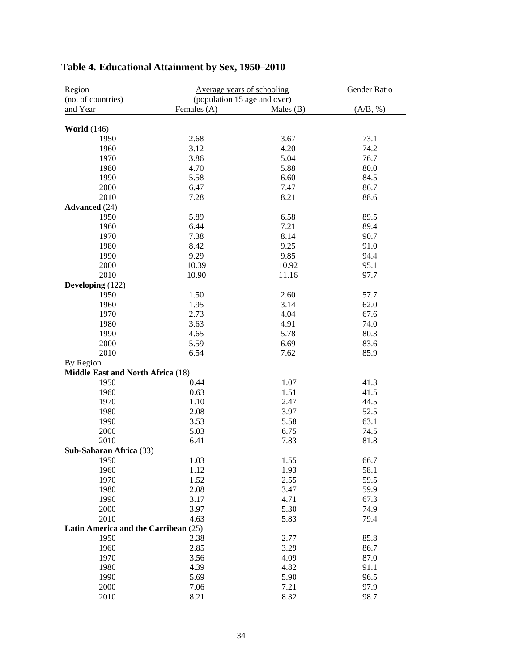| Region                               |                              | Average years of schooling |          |  |  |
|--------------------------------------|------------------------------|----------------------------|----------|--|--|
| (no. of countries)                   | (population 15 age and over) |                            |          |  |  |
| and Year                             | Females (A)                  | Males $(B)$                | (A/B, %) |  |  |
| <b>World</b> (146)                   |                              |                            |          |  |  |
| 1950                                 | 2.68                         | 3.67                       | 73.1     |  |  |
| 1960                                 | 3.12                         | 4.20                       | 74.2     |  |  |
| 1970                                 | 3.86                         | 5.04                       | 76.7     |  |  |
| 1980                                 | 4.70                         | 5.88                       | 80.0     |  |  |
| 1990                                 | 5.58                         | 6.60                       | 84.5     |  |  |
| 2000                                 | 6.47                         | 7.47                       | 86.7     |  |  |
| 2010                                 | 7.28                         | 8.21                       | 88.6     |  |  |
| <b>Advanced</b> (24)                 |                              |                            |          |  |  |
| 1950                                 | 5.89                         | 6.58                       | 89.5     |  |  |
| 1960                                 | 6.44                         | 7.21                       | 89.4     |  |  |
|                                      |                              | 8.14                       |          |  |  |
| 1970                                 | 7.38                         |                            | 90.7     |  |  |
| 1980<br>1990                         | 8.42                         | 9.25<br>9.85               | 91.0     |  |  |
|                                      | 9.29                         |                            | 94.4     |  |  |
| 2000                                 | 10.39                        | 10.92                      | 95.1     |  |  |
| 2010                                 | 10.90                        | 11.16                      | 97.7     |  |  |
| Developing (122)                     |                              |                            |          |  |  |
| 1950                                 | 1.50                         | 2.60                       | 57.7     |  |  |
| 1960                                 | 1.95                         | 3.14                       | 62.0     |  |  |
| 1970                                 | 2.73                         | 4.04                       | 67.6     |  |  |
| 1980                                 | 3.63                         | 4.91                       | 74.0     |  |  |
| 1990                                 | 4.65                         | 5.78                       | 80.3     |  |  |
| 2000                                 | 5.59                         | 6.69                       | 83.6     |  |  |
| 2010                                 | 6.54                         | 7.62                       | 85.9     |  |  |
| By Region                            |                              |                            |          |  |  |
| Middle East and North Africa (18)    |                              |                            |          |  |  |
| 1950                                 | 0.44                         | 1.07                       | 41.3     |  |  |
| 1960                                 | 0.63                         | 1.51                       | 41.5     |  |  |
| 1970                                 | 1.10                         | 2.47                       | 44.5     |  |  |
| 1980                                 | 2.08                         | 3.97                       | 52.5     |  |  |
| 1990                                 | 3.53                         | 5.58                       | 63.1     |  |  |
| 2000                                 | 5.03                         | 6.75                       | 74.5     |  |  |
| 2010                                 | 6.41                         | 7.83                       | 81.8     |  |  |
| Sub-Saharan Africa (33)              |                              |                            |          |  |  |
| 1950                                 | 1.03                         | 1.55                       | 66.7     |  |  |
| 1960                                 | 1.12                         | 1.93                       | 58.1     |  |  |
| 1970                                 | 1.52                         | 2.55                       | 59.5     |  |  |
| 1980                                 | 2.08                         | 3.47                       | 59.9     |  |  |
| 1990                                 | 3.17                         | 4.71                       | 67.3     |  |  |
| 2000                                 | 3.97                         | 5.30                       | 74.9     |  |  |
| 2010                                 | 4.63                         | 5.83                       | 79.4     |  |  |
| Latin America and the Carribean (25) |                              |                            |          |  |  |
| 1950                                 | 2.38                         | 2.77                       | 85.8     |  |  |
| 1960                                 | 2.85                         | 3.29                       | 86.7     |  |  |
| 1970                                 | 3.56                         | 4.09                       | 87.0     |  |  |
| 1980                                 | 4.39                         | 4.82                       | 91.1     |  |  |
| 1990                                 | 5.69                         | 5.90                       | 96.5     |  |  |
| 2000                                 | 7.06                         | 7.21                       | 97.9     |  |  |
| 2010                                 |                              |                            | 98.7     |  |  |
|                                      | 8.21                         | 8.32                       |          |  |  |

# **Table 4. Educational Attainment by Sex, 1950–2010**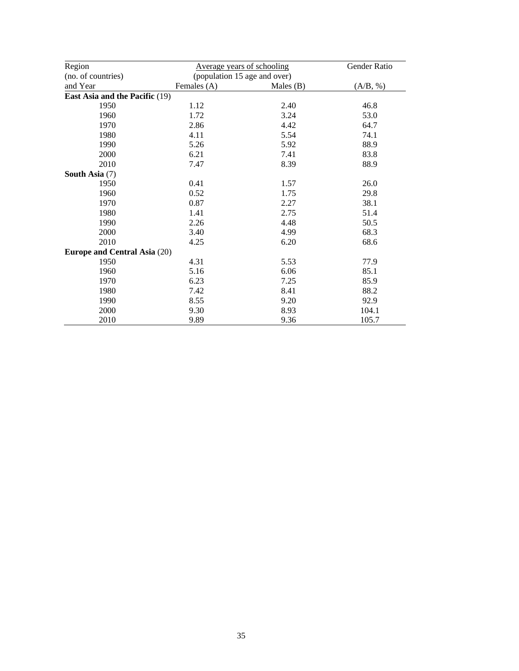| Region                              | Average years of schooling |                              | Gender Ratio |  |  |  |
|-------------------------------------|----------------------------|------------------------------|--------------|--|--|--|
| (no. of countries)                  |                            | (population 15 age and over) |              |  |  |  |
| and Year                            | Females (A)                | Males $(B)$                  | (A/B, %)     |  |  |  |
| East Asia and the Pacific (19)      |                            |                              |              |  |  |  |
| 1950                                | 1.12                       | 2.40                         | 46.8         |  |  |  |
| 1960                                | 1.72                       | 3.24                         | 53.0         |  |  |  |
| 1970                                | 2.86                       | 4.42                         | 64.7         |  |  |  |
| 1980                                | 4.11                       | 5.54                         | 74.1         |  |  |  |
| 1990                                | 5.26                       | 5.92                         | 88.9         |  |  |  |
| 2000                                | 6.21                       | 7.41                         | 83.8         |  |  |  |
| 2010                                | 7.47                       | 8.39                         | 88.9         |  |  |  |
| South Asia (7)                      |                            |                              |              |  |  |  |
| 1950                                | 0.41                       | 1.57                         | 26.0         |  |  |  |
| 1960                                | 0.52                       | 1.75                         | 29.8         |  |  |  |
| 1970                                | 0.87                       | 2.27                         | 38.1         |  |  |  |
| 1980                                | 1.41                       | 2.75                         | 51.4         |  |  |  |
| 1990                                | 2.26                       | 4.48                         | 50.5         |  |  |  |
| 2000                                | 3.40                       | 4.99                         | 68.3         |  |  |  |
| 2010                                | 4.25                       | 6.20                         | 68.6         |  |  |  |
| <b>Europe and Central Asia (20)</b> |                            |                              |              |  |  |  |
| 1950                                | 4.31                       | 5.53                         | 77.9         |  |  |  |
| 1960                                | 5.16                       | 6.06                         | 85.1         |  |  |  |
| 1970                                | 6.23                       | 7.25                         | 85.9         |  |  |  |
| 1980                                | 7.42                       | 8.41                         | 88.2         |  |  |  |
| 1990                                | 8.55                       | 9.20                         | 92.9         |  |  |  |
| 2000                                | 9.30                       | 8.93                         | 104.1        |  |  |  |
| 2010                                | 9.89                       | 9.36                         | 105.7        |  |  |  |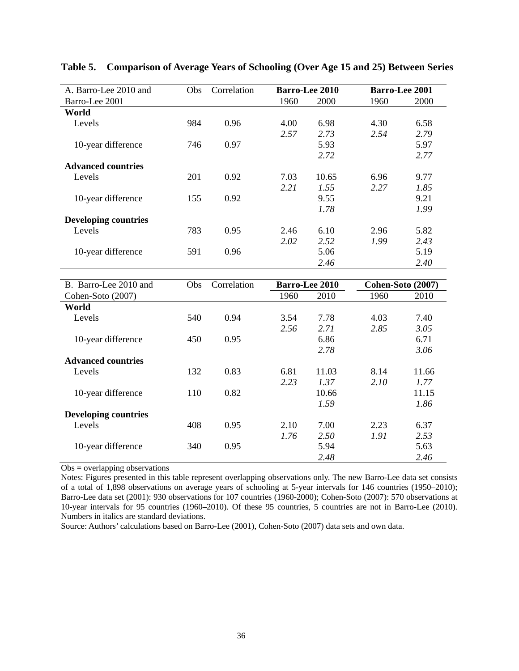| A. Barro-Lee 2010 and       | <b>Obs</b> | Correlation |      | <b>Barro-Lee 2010</b> |      | <b>Barro-Lee 2001</b> |
|-----------------------------|------------|-------------|------|-----------------------|------|-----------------------|
| Barro-Lee 2001              |            |             | 1960 | 2000                  | 1960 | 2000                  |
| World                       |            |             |      |                       |      |                       |
| Levels                      | 984        | 0.96        | 4.00 | 6.98                  | 4.30 | 6.58                  |
|                             |            |             | 2.57 | 2.73                  | 2.54 | 2.79                  |
| 10-year difference          | 746        | 0.97        |      | 5.93                  |      | 5.97                  |
|                             |            |             |      | 2.72                  |      | 2.77                  |
| <b>Advanced countries</b>   |            |             |      |                       |      |                       |
| Levels                      | 201        | 0.92        | 7.03 | 10.65                 | 6.96 | 9.77                  |
|                             |            |             | 2.21 | 1.55                  | 2.27 | 1.85                  |
| 10-year difference          | 155        | 0.92        |      | 9.55                  |      | 9.21                  |
|                             |            |             |      | 1.78                  |      | 1.99                  |
| <b>Developing countries</b> |            |             |      |                       |      |                       |
| Levels                      | 783        | 0.95        | 2.46 | 6.10                  | 2.96 | 5.82                  |
|                             |            |             | 2.02 | 2.52                  | 1.99 | 2.43                  |
| 10-year difference          | 591        | 0.96        |      | 5.06                  |      | 5.19                  |
|                             |            |             |      | 2.46                  |      | 2.40                  |
|                             |            |             |      |                       |      |                       |
| B. Barro-Lee 2010 and       | Obs        | Correlation |      | <b>Barro-Lee 2010</b> |      | Cohen-Soto (2007)     |
| Cohen-Soto (2007)           |            |             | 1960 | 2010                  | 1960 | 2010                  |
| $W_{\alpha-1}$              |            |             |      |                       |      |                       |

**Table 5. Comparison of Average Years of Schooling (Over Age 15 and 25) Between Series** 

| B. Barro-Lee 2010 and       | Obs. | Correlation |      | <b>Barro-Lee 2010</b> |      | Cohen-Soto (2007) |
|-----------------------------|------|-------------|------|-----------------------|------|-------------------|
| Cohen-Soto (2007)           |      |             | 1960 | 2010                  | 1960 | 2010              |
| World                       |      |             |      |                       |      |                   |
| Levels                      | 540  | 0.94        | 3.54 | 7.78                  | 4.03 | 7.40              |
|                             |      |             | 2.56 | 2.71                  | 2.85 | 3.05              |
| 10-year difference          | 450  | 0.95        |      | 6.86                  |      | 6.71              |
|                             |      |             |      | 2.78                  |      | 3.06              |
| <b>Advanced countries</b>   |      |             |      |                       |      |                   |
| Levels                      | 132  | 0.83        | 6.81 | 11.03                 | 8.14 | 11.66             |
|                             |      |             | 2.23 | 1.37                  | 2.10 | 1.77              |
| 10-year difference          | 110  | 0.82        |      | 10.66                 |      | 11.15             |
|                             |      |             |      | 1.59                  |      | 1.86              |
| <b>Developing countries</b> |      |             |      |                       |      |                   |
| Levels                      | 408  | 0.95        | 2.10 | 7.00                  | 2.23 | 6.37              |
|                             |      |             | 1.76 | 2.50                  | 1.91 | 2.53              |
| 10-year difference          | 340  | 0.95        |      | 5.94                  |      | 5.63              |
|                             |      |             |      | 2.48                  |      | 2.46              |

Obs = overlapping observations

Notes: Figures presented in this table represent overlapping observations only. The new Barro-Lee data set consists of a total of 1,898 observations on average years of schooling at 5-year intervals for 146 countries (1950–2010); Barro-Lee data set (2001): 930 observations for 107 countries (1960-2000); Cohen-Soto (2007): 570 observations at 10-year intervals for 95 countries (1960–2010). Of these 95 countries, 5 countries are not in Barro-Lee (2010). Numbers in italics are standard deviations.

Source: Authors' calculations based on Barro-Lee (2001), Cohen-Soto (2007) data sets and own data.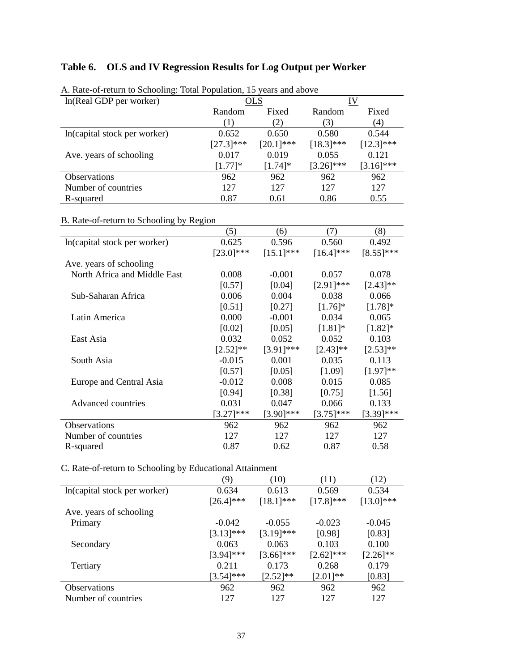## **Table 6. OLS and IV Regression Results for Log Output per Worker**

| 71. Rail-of-feurli to behoomig. Total Population, 19 years and above<br>ln(Real GDP per worker) |             | OLS         |              | IV           |
|-------------------------------------------------------------------------------------------------|-------------|-------------|--------------|--------------|
|                                                                                                 | Random      | Fixed       | Random       | Fixed        |
|                                                                                                 | (1)         | (2)         | (3)          | (4)          |
| In (capital stock per worker)                                                                   | 0.652       | 0.650       | 0.580        | 0.544        |
|                                                                                                 | $[27.3]***$ | $[20.1]***$ | $[18.3]***$  | $[12.3]$ *** |
| Ave. years of schooling                                                                         | 0.017       | 0.019       | 0.055        | 0.121        |
|                                                                                                 | $[1.77]$ *  | $[1.74]$ *  | $[3.26]$ *** | $[3.16]$ *** |
| <b>Observations</b>                                                                             | 962         | 962         | 962          | 962          |
| Number of countries                                                                             | 127         | 127         | 127          | 127          |
| R-squared                                                                                       | 0.87        | 0.61        | 0.86         | 0.55         |

A. Rate-of-return to Schooling: Total Population, 15 years and above

## B. Rate-of-return to Schooling by Region

|                              | (5)          | (6)          | (7)            | (8)           |
|------------------------------|--------------|--------------|----------------|---------------|
| In(capital stock per worker) | 0.625        | 0.596        | 0.560          | 0.492         |
|                              | $[23.0]$ *** | $[15.1]***$  | $[16.4]***$    | $[8.55]$ ***  |
| Ave. years of schooling      |              |              |                |               |
| North Africa and Middle East | 0.008        | $-0.001$     | 0.057          | 0.078         |
|                              | [0.57]       | [0.04]       | $[2.91]$ ***   | $[2.43]^{**}$ |
| Sub-Saharan Africa           | 0.006        | 0.004        | 0.038          | 0.066         |
|                              | [0.51]       | [0.27]       | $[1.76]$ *     | $[1.78]$ *    |
| Latin America                | 0.000        | $-0.001$     | 0.034          | 0.065         |
|                              | [0.02]       | [0.05]       | $[1.81]$ *     | $[1.82]$ *    |
| East Asia                    | 0.032        | 0.052        | 0.052          | 0.103         |
|                              | $[2.52]$ **  | $[3.91]$ *** | $[2.43]$ **    | $[2.53]^{**}$ |
| South Asia                   | $-0.015$     | 0.001        | 0.035          | 0.113         |
|                              | [0.57]       | [0.05]       | [1.09]         | $[1.97]**$    |
| Europe and Central Asia      | $-0.012$     | 0.008        | 0.015          | 0.085         |
|                              | [0.94]       | [0.38]       | [0.75]         | [1.56]        |
| Advanced countries           | 0.031        | 0.047        | 0.066          | 0.133         |
|                              | $[3.27]$ *** | $[3.90]$ *** | $[3.75]^{***}$ | $[3.39]$ ***  |
| <b>Observations</b>          | 962          | 962          | 962            | 962           |
| Number of countries          | 127          | 127          | 127            | 127           |
| R-squared                    | 0.87         | 0.62         | 0.87           | 0.58          |

C. Rate-of-return to Schooling by Educational Attainment

|                              | (9)          | (10)          | (11)         | (12)          |
|------------------------------|--------------|---------------|--------------|---------------|
| In(capital stock per worker) | 0.634        | 0.613         | 0.569        | 0.534         |
|                              | $[26.4]$ *** | $[18.1]$ ***  | $[17.8]$ *** | $[13.0]$ ***  |
| Ave. years of schooling      |              |               |              |               |
| Primary                      | $-0.042$     | $-0.055$      | $-0.023$     | $-0.045$      |
|                              | $[3.13]$ *** | $[3.19]$ ***  | [0.98]       | [0.83]        |
| Secondary                    | 0.063        | 0.063         | 0.103        | 0.100         |
|                              | $[3.94]$ *** | $[3.66]$ ***  | $[2.62]$ *** | $[2.26]^{**}$ |
| Tertiary                     | 0.211        | 0.173         | 0.268        | 0.179         |
|                              | $[3.54]$ *** | $[2.52]^{**}$ | $[2.01]**$   | [0.83]        |
| <b>Observations</b>          | 962          | 962           | 962          | 962           |
| Number of countries          | 127          | 127           | 12.7         | 127           |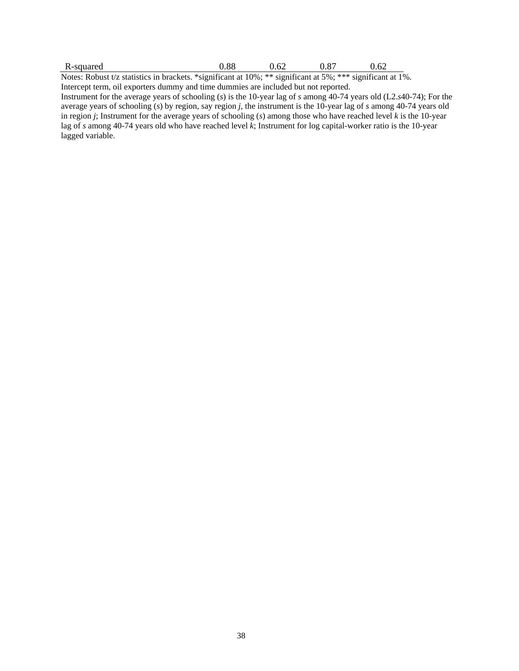| R-squared                                                                                                           | 0.88 | 0.62 | 0.87 | 0.62 |
|---------------------------------------------------------------------------------------------------------------------|------|------|------|------|
| Notes: Robust t/z statistics in brackets. *significant at $10\%$ ; ** significant at $5\%$ ; *** significant at 1%. |      |      |      |      |

Intercept term, oil exporters dummy and time dummies are included but not reported.

Instrument for the average years of schooling (*s*) is the 10-year lag of *s* among 40-74 years old (L2.*s*40-74); For the average years of schooling (*s*) by region, say region *j,* the instrument is the 10-year lag of *s* among 40-74 years old in region *j*; Instrument for the average years of schooling (*s*) among those who have reached level *k* is the 10-year lag of *s* among 40-74 years old who have reached level *k*; Instrument for log capital-worker ratio is the 10-year lagged variable.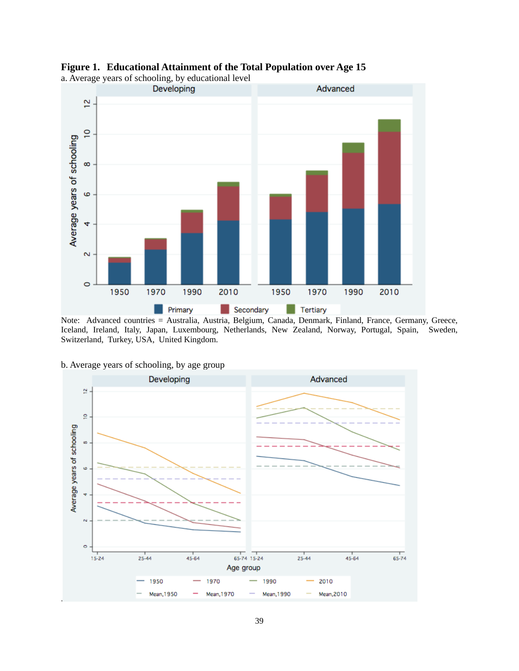



a. Average years of schooling, by educational level

Note: Advanced countries = Australia, Austria, Belgium, Canada, Denmark, Finland, France, Germany, Greece, Iceland, Ireland, Italy, Japan, Luxembourg, Netherlands, New Zealand, Norway, Portugal, Spain, Sweden, Switzerland, Turkey, USA, United Kingdom.

#### b. Average years of schooling, by age group

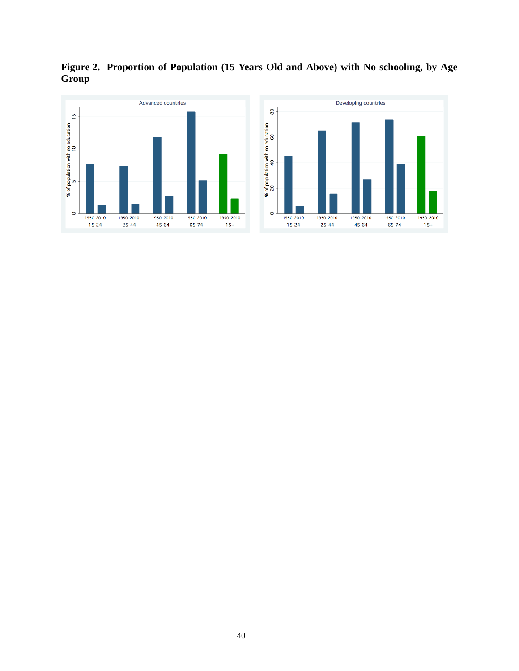**Figure 2. Proportion of Population (15 Years Old and Above) with No schooling, by Age Group** 



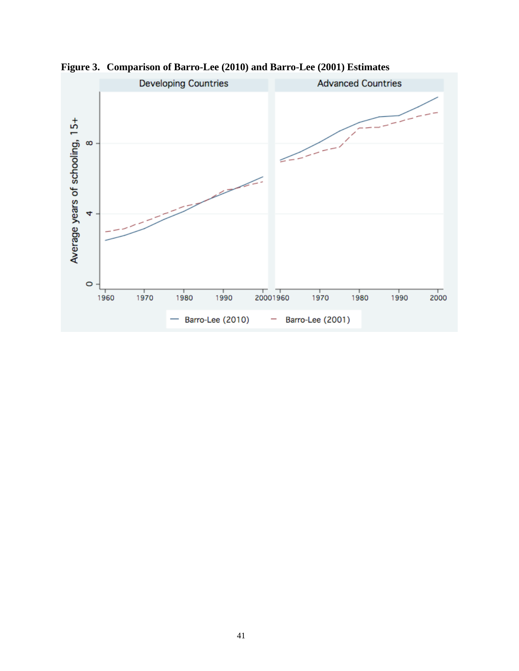

**Figure 3. Comparison of Barro-Lee (2010) and Barro-Lee (2001) Estimates**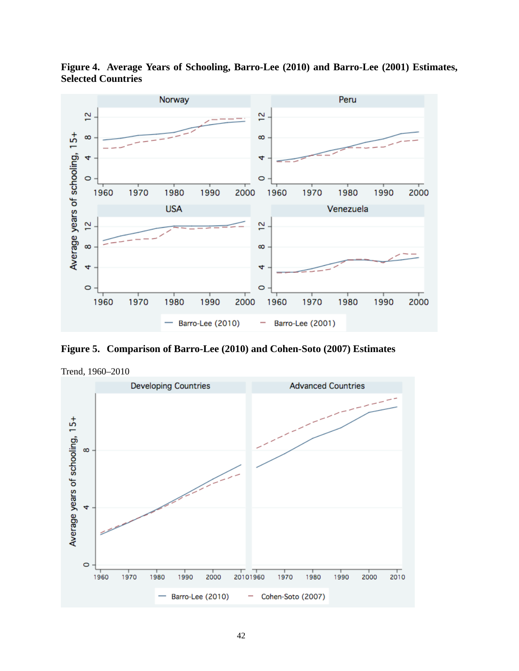

**Figure 4. Average Years of Schooling, Barro-Lee (2010) and Barro-Lee (2001) Estimates, Selected Countries** 

**Figure 5. Comparison of Barro-Lee (2010) and Cohen-Soto (2007) Estimates** 



Trend, 1960–2010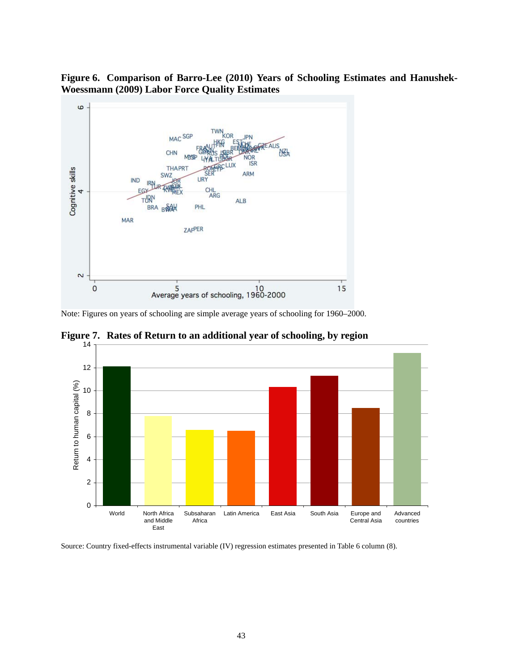**Figure 6. Comparison of Barro-Lee (2010) Years of Schooling Estimates and Hanushek-Woessmann (2009) Labor Force Quality Estimates** 



Note: Figures on years of schooling are simple average years of schooling for 1960–2000.



**Figure 7. Rates of Return to an additional year of schooling, by region** 

Source: Country fixed-effects instrumental variable (IV) regression estimates presented in Table 6 column (8).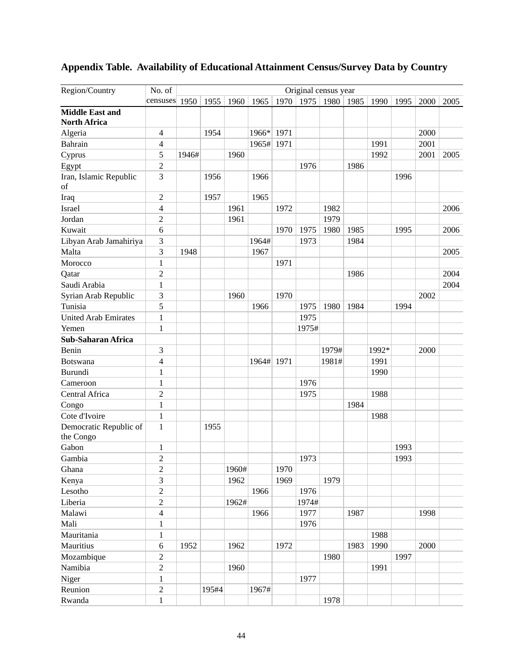| Region/Country                      | No. of                   |       |       |       |            |      |       | Original census year |      |       |      |      |      |
|-------------------------------------|--------------------------|-------|-------|-------|------------|------|-------|----------------------|------|-------|------|------|------|
|                                     | censuses 1950            |       | 1955  | 1960  | 1965       | 1970 | 1975  | 1980                 | 1985 | 1990  | 1995 | 2000 | 2005 |
| <b>Middle East and</b>              |                          |       |       |       |            |      |       |                      |      |       |      |      |      |
| <b>North Africa</b>                 |                          |       |       |       |            |      |       |                      |      |       |      |      |      |
| Algeria                             | $\overline{\mathcal{A}}$ |       | 1954  |       | 1966*      | 1971 |       |                      |      |       |      | 2000 |      |
| Bahrain                             | 4                        |       |       |       | 1965#      | 1971 |       |                      |      | 1991  |      | 2001 |      |
| Cyprus                              | 5                        | 1946# |       | 1960  |            |      |       |                      |      | 1992  |      | 2001 | 2005 |
| Egypt                               | $\overline{2}$           |       |       |       |            |      | 1976  |                      | 1986 |       |      |      |      |
| Iran, Islamic Republic              | 3                        |       | 1956  |       | 1966       |      |       |                      |      |       | 1996 |      |      |
| of                                  |                          |       |       |       |            |      |       |                      |      |       |      |      |      |
| Iraq                                | $\overline{c}$           |       | 1957  |       | 1965       |      |       |                      |      |       |      |      |      |
| Israel                              | 4                        |       |       | 1961  |            | 1972 |       | 1982                 |      |       |      |      | 2006 |
| Jordan                              | $\overline{c}$           |       |       | 1961  |            |      |       | 1979                 |      |       |      |      |      |
| Kuwait                              | 6                        |       |       |       |            | 1970 | 1975  | 1980                 | 1985 |       | 1995 |      | 2006 |
| Libyan Arab Jamahiriya              | 3                        |       |       |       | 1964#      |      | 1973  |                      | 1984 |       |      |      |      |
| Malta                               | 3                        | 1948  |       |       | 1967       |      |       |                      |      |       |      |      | 2005 |
| Morocco                             | $\mathbf{1}$             |       |       |       |            | 1971 |       |                      |      |       |      |      |      |
| Qatar                               | $\overline{2}$           |       |       |       |            |      |       |                      | 1986 |       |      |      | 2004 |
| Saudi Arabia                        | 1                        |       |       |       |            |      |       |                      |      |       |      |      | 2004 |
| Syrian Arab Republic                | 3                        |       |       | 1960  |            | 1970 |       |                      |      |       |      | 2002 |      |
| Tunisia                             | 5                        |       |       |       | 1966       |      | 1975  | 1980                 | 1984 |       | 1994 |      |      |
| <b>United Arab Emirates</b>         | $\mathbf{1}$             |       |       |       |            |      | 1975  |                      |      |       |      |      |      |
| Yemen                               | $\mathbf{1}$             |       |       |       |            |      | 1975# |                      |      |       |      |      |      |
| <b>Sub-Saharan Africa</b>           |                          |       |       |       |            |      |       |                      |      |       |      |      |      |
| Benin                               | $\mathfrak{Z}$           |       |       |       |            |      |       | 1979#                |      | 1992* |      | 2000 |      |
| Botswana                            | 4                        |       |       |       | 1964# 1971 |      |       | 1981#                |      | 1991  |      |      |      |
| Burundi                             | $\mathbf{1}$             |       |       |       |            |      |       |                      |      | 1990  |      |      |      |
| Cameroon                            | $\mathbf{1}$             |       |       |       |            |      | 1976  |                      |      |       |      |      |      |
| Central Africa                      | 2                        |       |       |       |            |      | 1975  |                      |      | 1988  |      |      |      |
| Congo                               | $\mathbf{1}$             |       |       |       |            |      |       |                      | 1984 |       |      |      |      |
| Cote d'Ivoire                       | $\mathbf{1}$             |       |       |       |            |      |       |                      |      | 1988  |      |      |      |
| Democratic Republic of<br>the Congo | 1                        |       | 1955  |       |            |      |       |                      |      |       |      |      |      |
| Gabon                               | $\mathbf{1}$             |       |       |       |            |      |       |                      |      |       | 1993 |      |      |
| Gambia                              | $\overline{2}$           |       |       |       |            |      | 1973  |                      |      |       | 1993 |      |      |
| Ghana                               | $\sqrt{2}$               |       |       | 1960# |            | 1970 |       |                      |      |       |      |      |      |
| Kenya                               | 3                        |       |       | 1962  |            | 1969 |       | 1979                 |      |       |      |      |      |
| Lesotho                             | $\overline{2}$           |       |       |       | 1966       |      | 1976  |                      |      |       |      |      |      |
| Liberia                             | $\sqrt{2}$               |       |       | 1962# |            |      | 1974# |                      |      |       |      |      |      |
| Malawi                              | $\overline{4}$           |       |       |       | 1966       |      | 1977  |                      | 1987 |       |      | 1998 |      |
| Mali                                | $\mathbf{1}$             |       |       |       |            |      | 1976  |                      |      |       |      |      |      |
| Mauritania                          | $\mathbf{1}$             |       |       |       |            |      |       |                      |      | 1988  |      |      |      |
| Mauritius                           | $\sqrt{6}$               | 1952  |       | 1962  |            | 1972 |       |                      | 1983 | 1990  |      | 2000 |      |
| Mozambique                          | $\sqrt{2}$               |       |       |       |            |      |       | 1980                 |      |       | 1997 |      |      |
| Namibia                             | $\overline{2}$           |       |       | 1960  |            |      |       |                      |      | 1991  |      |      |      |
| Niger                               | $\mathbf{1}$             |       |       |       |            |      | 1977  |                      |      |       |      |      |      |
| Reunion                             | $\boldsymbol{2}$         |       | 195#4 |       | 1967#      |      |       |                      |      |       |      |      |      |
|                                     |                          |       |       |       |            |      |       |                      |      |       |      |      |      |
| Rwanda                              | $\,1\,$                  |       |       |       |            |      |       | 1978                 |      |       |      |      |      |

## **Appendix Table. Availability of Educational Attainment Census/Survey Data by Country**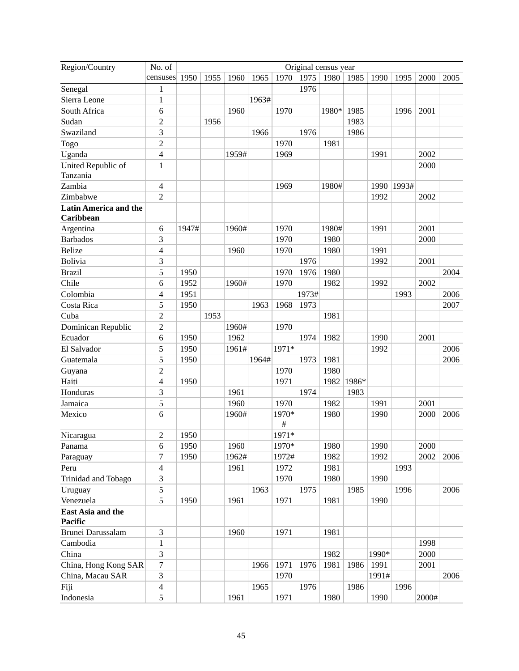| Region/Country                            | No. of                   | Original census year |      |       |       |            |       |       |       |       |       |       |      |
|-------------------------------------------|--------------------------|----------------------|------|-------|-------|------------|-------|-------|-------|-------|-------|-------|------|
|                                           | censuses $1950$          |                      | 1955 | 1960  | 1965  | 1970       | 1975  | 1980  | 1985  | 1990  | 1995  | 2000  | 2005 |
| Senegal                                   | 1                        |                      |      |       |       |            | 1976  |       |       |       |       |       |      |
| Sierra Leone                              | $\mathbf{1}$             |                      |      |       | 1963# |            |       |       |       |       |       |       |      |
| South Africa                              | 6                        |                      |      | 1960  |       | 1970       |       | 1980* | 1985  |       | 1996  | 2001  |      |
| Sudan                                     | $\overline{c}$           |                      | 1956 |       |       |            |       |       | 1983  |       |       |       |      |
| Swaziland                                 | 3                        |                      |      |       | 1966  |            | 1976  |       | 1986  |       |       |       |      |
| Togo                                      | $\overline{c}$           |                      |      |       |       | 1970       |       | 1981  |       |       |       |       |      |
| Uganda                                    | 4                        |                      |      | 1959# |       | 1969       |       |       |       | 1991  |       | 2002  |      |
| United Republic of<br>Tanzania            | $\mathbf{1}$             |                      |      |       |       |            |       |       |       |       |       | 2000  |      |
| Zambia                                    | $\overline{4}$           |                      |      |       |       | 1969       |       | 1980# |       | 1990  | 1993# |       |      |
| Zimbabwe                                  | $\overline{2}$           |                      |      |       |       |            |       |       |       | 1992  |       | 2002  |      |
| <b>Latin America and the</b><br>Caribbean |                          |                      |      |       |       |            |       |       |       |       |       |       |      |
| Argentina                                 | 6                        | 1947#                |      | 1960# |       | 1970       |       | 1980# |       | 1991  |       | 2001  |      |
| <b>Barbados</b>                           | 3                        |                      |      |       |       | 1970       |       | 1980  |       |       |       | 2000  |      |
| <b>Belize</b>                             | $\overline{\mathcal{L}}$ |                      |      | 1960  |       | 1970       |       | 1980  |       | 1991  |       |       |      |
| Bolivia                                   | 3                        |                      |      |       |       |            | 1976  |       |       | 1992  |       | 2001  |      |
| <b>Brazil</b>                             | 5                        | 1950                 |      |       |       | 1970       | 1976  | 1980  |       |       |       |       | 2004 |
| Chile                                     | 6                        | 1952                 |      | 1960# |       | 1970       |       | 1982  |       | 1992  |       | 2002  |      |
| Colombia                                  | 4                        | 1951                 |      |       |       |            | 1973# |       |       |       | 1993  |       | 2006 |
| Costa Rica                                | 5                        | 1950                 |      |       | 1963  | 1968       | 1973  |       |       |       |       |       | 2007 |
| Cuba                                      | $\overline{c}$           |                      | 1953 |       |       |            |       | 1981  |       |       |       |       |      |
| Dominican Republic                        | $\overline{2}$           |                      |      | 1960# |       | 1970       |       |       |       |       |       |       |      |
| Ecuador                                   | 6                        | 1950                 |      | 1962  |       |            | 1974  | 1982  |       | 1990  |       | 2001  |      |
| El Salvador                               | 5                        | 1950                 |      | 1961# |       | 1971*      |       |       |       | 1992  |       |       | 2006 |
| Guatemala                                 | 5                        | 1950                 |      |       | 1964# |            | 1973  | 1981  |       |       |       |       | 2006 |
| Guyana                                    | 2                        |                      |      |       |       | 1970       |       | 1980  |       |       |       |       |      |
| Haiti                                     | 4                        | 1950                 |      |       |       | 1971       |       | 1982  | 1986* |       |       |       |      |
| Honduras                                  | 3                        |                      |      | 1961  |       |            | 1974  |       | 1983  |       |       |       |      |
| Jamaica                                   | 5                        |                      |      | 1960  |       | 1970       |       | 1982  |       | 1991  |       | 2001  |      |
| Mexico                                    | 6                        |                      |      | 1960# |       | 1970*<br># |       | 1980  |       | 1990  |       | 2000  | 2006 |
| Nicaragua                                 | 2                        | 1950                 |      |       |       | 1971*      |       |       |       |       |       |       |      |
| Panama                                    | 6                        | 1950                 |      | 1960  |       | 1970*      |       | 1980  |       | 1990  |       | 2000  |      |
| Paraguay                                  | 7                        | 1950                 |      | 1962# |       | 1972#      |       | 1982  |       | 1992  |       | 2002  | 2006 |
| Peru                                      | 4                        |                      |      | 1961  |       | 1972       |       | 1981  |       |       | 1993  |       |      |
| Trinidad and Tobago                       | 3                        |                      |      |       |       | 1970       |       | 1980  |       | 1990  |       |       |      |
| Uruguay                                   | 5                        |                      |      |       | 1963  |            | 1975  |       | 1985  |       | 1996  |       | 2006 |
| Venezuela                                 | 5                        | 1950                 |      | 1961  |       | 1971       |       | 1981  |       | 1990  |       |       |      |
| East Asia and the<br>Pacific              |                          |                      |      |       |       |            |       |       |       |       |       |       |      |
| Brunei Darussalam                         | 3                        |                      |      | 1960  |       | 1971       |       | 1981  |       |       |       |       |      |
| Cambodia                                  | 1                        |                      |      |       |       |            |       |       |       |       |       | 1998  |      |
| China                                     | 3                        |                      |      |       |       |            |       | 1982  |       | 1990* |       | 2000  |      |
| China, Hong Kong SAR                      | 7                        |                      |      |       | 1966  | 1971       | 1976  | 1981  | 1986  | 1991  |       | 2001  |      |
| China, Macau SAR                          | 3                        |                      |      |       |       | 1970       |       |       |       | 1991# |       |       | 2006 |
| Fiji                                      | 4                        |                      |      |       | 1965  |            | 1976  |       | 1986  |       | 1996  |       |      |
| Indonesia                                 | 5                        |                      |      | 1961  |       | 1971       |       | 1980  |       | 1990  |       | 2000# |      |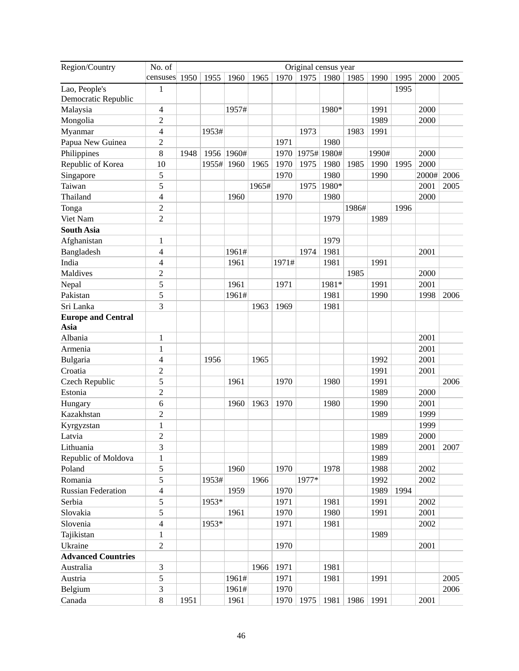| Region/Country            | No. of                   | Original census year |       |       |       |       |       |             |       |       |      |       |      |
|---------------------------|--------------------------|----------------------|-------|-------|-------|-------|-------|-------------|-------|-------|------|-------|------|
|                           | censuses                 | 1950                 | 1955  | 1960  | 1965  | 1970  | 1975  | 1980        | 1985  | 1990  | 1995 | 2000  | 2005 |
| Lao, People's             | 1                        |                      |       |       |       |       |       |             |       |       | 1995 |       |      |
| Democratic Republic       |                          |                      |       |       |       |       |       |             |       |       |      |       |      |
| Malaysia                  | $\overline{\mathcal{L}}$ |                      |       | 1957# |       |       |       | 1980*       |       | 1991  |      | 2000  |      |
| Mongolia                  | 2                        |                      |       |       |       |       |       |             |       | 1989  |      | 2000  |      |
| Myanmar                   | 4                        |                      | 1953# |       |       |       | 1973  |             | 1983  | 1991  |      |       |      |
| Papua New Guinea          | 2                        |                      |       |       |       | 1971  |       | 1980        |       |       |      |       |      |
| Philippines               | 8                        | 1948                 | 1956  | 1960# |       | 1970  |       | 1975# 1980# |       | 1990# |      | 2000  |      |
| Republic of Korea         | 10                       |                      | 1955# | 1960  | 1965  | 1970  | 1975  | 1980        | 1985  | 1990  | 1995 | 2000  |      |
| Singapore                 | 5                        |                      |       |       |       | 1970  |       | 1980        |       | 1990  |      | 2000# | 2006 |
| Taiwan                    | 5                        |                      |       |       | 1965# |       | 1975  | 1980*       |       |       |      | 2001  | 2005 |
| Thailand                  | 4                        |                      |       | 1960  |       | 1970  |       | 1980        |       |       |      | 2000  |      |
| Tonga                     | 2                        |                      |       |       |       |       |       |             | 1986# |       | 1996 |       |      |
| Viet Nam                  | $\overline{2}$           |                      |       |       |       |       |       | 1979        |       | 1989  |      |       |      |
| <b>South Asia</b>         |                          |                      |       |       |       |       |       |             |       |       |      |       |      |
| Afghanistan               | 1                        |                      |       |       |       |       |       | 1979        |       |       |      |       |      |
| Bangladesh                | 4                        |                      |       | 1961# |       |       | 1974  | 1981        |       |       |      | 2001  |      |
| India                     | 4                        |                      |       | 1961  |       | 1971# |       | 1981        |       | 1991  |      |       |      |
| Maldives                  | $\overline{c}$           |                      |       |       |       |       |       |             | 1985  |       |      | 2000  |      |
| Nepal                     | 5                        |                      |       | 1961  |       | 1971  |       | 1981*       |       | 1991  |      | 2001  |      |
| Pakistan                  | 5                        |                      |       | 1961# |       |       |       | 1981        |       | 1990  |      | 1998  | 2006 |
| Sri Lanka                 | 3                        |                      |       |       | 1963  | 1969  |       | 1981        |       |       |      |       |      |
| <b>Europe and Central</b> |                          |                      |       |       |       |       |       |             |       |       |      |       |      |
| Asia                      |                          |                      |       |       |       |       |       |             |       |       |      |       |      |
| Albania                   | $\mathbf{1}$             |                      |       |       |       |       |       |             |       |       |      | 2001  |      |
| Armenia                   | $\mathbf{1}$             |                      |       |       |       |       |       |             |       |       |      | 2001  |      |
| Bulgaria                  | 4                        |                      | 1956  |       | 1965  |       |       |             |       | 1992  |      | 2001  |      |
| Croatia                   | 2                        |                      |       |       |       |       |       |             |       | 1991  |      | 2001  |      |
| Czech Republic            | 5                        |                      |       | 1961  |       | 1970  |       | 1980        |       | 1991  |      |       | 2006 |
| Estonia                   | $\overline{c}$           |                      |       |       |       |       |       |             |       | 1989  |      | 2000  |      |
| Hungary                   | 6                        |                      |       | 1960  | 1963  | 1970  |       | 1980        |       | 1990  |      | 2001  |      |
| Kazakhstan                | 2                        |                      |       |       |       |       |       |             |       | 1989  |      | 1999  |      |
| Kyrgyzstan                | 1                        |                      |       |       |       |       |       |             |       |       |      | 1999  |      |
| Latvia                    | $\overline{2}$           |                      |       |       |       |       |       |             |       | 1989  |      | 2000  |      |
| Lithuania                 | 3                        |                      |       |       |       |       |       |             |       | 1989  |      | 2001  | 2007 |
| Republic of Moldova       | 1                        |                      |       |       |       |       |       |             |       | 1989  |      |       |      |
| Poland                    | 5                        |                      |       | 1960  |       | 1970  |       | 1978        |       | 1988  |      | 2002  |      |
| Romania                   | 5                        |                      | 1953# |       | 1966  |       | 1977* |             |       | 1992  |      | 2002  |      |
| <b>Russian Federation</b> | $\overline{4}$           |                      |       | 1959  |       | 1970  |       |             |       | 1989  | 1994 |       |      |
| Serbia                    | 5                        |                      | 1953* |       |       | 1971  |       | 1981        |       | 1991  |      | 2002  |      |
| Slovakia                  | 5                        |                      |       | 1961  |       | 1970  |       | 1980        |       | 1991  |      | 2001  |      |
| Slovenia                  | $\overline{\mathcal{L}}$ |                      | 1953* |       |       | 1971  |       | 1981        |       |       |      | 2002  |      |
| Tajikistan                | $\mathbf{1}$             |                      |       |       |       |       |       |             |       | 1989  |      |       |      |
| Ukraine                   | $\overline{2}$           |                      |       |       |       | 1970  |       |             |       |       |      | 2001  |      |
| <b>Advanced Countries</b> |                          |                      |       |       |       |       |       |             |       |       |      |       |      |
| Australia                 | 3                        |                      |       |       | 1966  | 1971  |       | 1981        |       |       |      |       |      |
| Austria                   | 5                        |                      |       | 1961# |       | 1971  |       | 1981        |       | 1991  |      |       | 2005 |
| Belgium                   | 3                        |                      |       | 1961# |       | 1970  |       |             |       |       |      |       | 2006 |
| Canada                    | $\,8\,$                  | 1951                 |       | 1961  |       | 1970  | 1975  | 1981        | 1986  | 1991  |      | 2001  |      |
|                           |                          |                      |       |       |       |       |       |             |       |       |      |       |      |